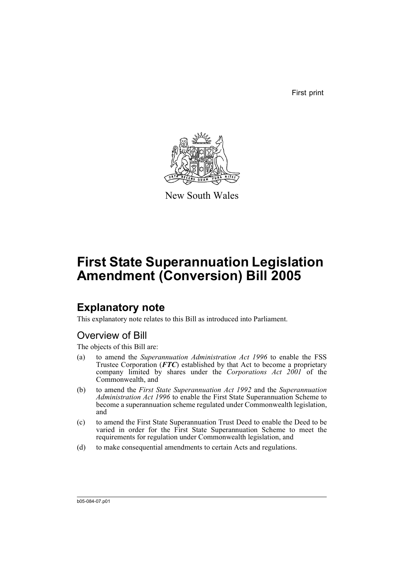First print



New South Wales

# **First State Superannuation Legislation Amendment (Conversion) Bill 2005**

# **Explanatory note**

This explanatory note relates to this Bill as introduced into Parliament.

## Overview of Bill

The objects of this Bill are:

- (a) to amend the *Superannuation Administration Act 1996* to enable the FSS Trustee Corporation (*FTC*) established by that Act to become a proprietary company limited by shares under the *Corporations Act 2001* of the Commonwealth, and
- (b) to amend the *First State Superannuation Act 1992* and the *Superannuation Administration Act 1996* to enable the First State Superannuation Scheme to become a superannuation scheme regulated under Commonwealth legislation, and
- (c) to amend the First State Superannuation Trust Deed to enable the Deed to be varied in order for the First State Superannuation Scheme to meet the requirements for regulation under Commonwealth legislation, and
- (d) to make consequential amendments to certain Acts and regulations.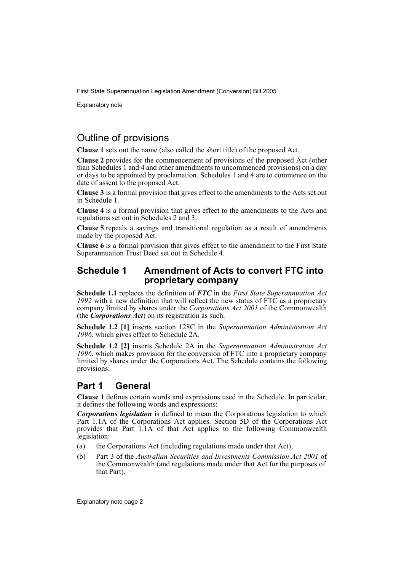Explanatory note

## Outline of provisions

**Clause 1** sets out the name (also called the short title) of the proposed Act.

**Clause 2** provides for the commencement of provisions of the proposed Act (other than Schedules 1 and 4 and other amendments to uncommenced provisions) on a day or days to be appointed by proclamation. Schedules 1 and 4 are to commence on the date of assent to the proposed Act.

**Clause 3** is a formal provision that gives effect to the amendments to the Acts set out in Schedule 1.

**Clause 4** is a formal provision that gives effect to the amendments to the Acts and regulations set out in Schedules 2 and 3.

**Clause 5** repeals a savings and transitional regulation as a result of amendments made by the proposed Act.

**Clause 6** is a formal provision that gives effect to the amendment to the First State Superannuation Trust Deed set out in Schedule 4.

### **Schedule 1 Amendment of Acts to convert FTC into proprietary company**

**Schedule 1.1** replaces the definition of *FTC* in the *First State Superannuation Act 1992* with a new definition that will reflect the new status of FTC as a proprietary company limited by shares under the *Corporations Act 2001* of the Commonwealth (the *Corporations Act*) on its registration as such.

**Schedule 1.2 [1]** inserts section 128C in the *Superannuation Administration Act 1996*, which gives effect to Schedule 2A.

**Schedule 1.2 [2]** inserts Schedule 2A in the *Superannuation Administration Act 1996*, which makes provision for the conversion of FTC into a proprietary company limited by shares under the Corporations Act. The Schedule contains the following provisions:

## **Part 1 General**

**Clause 1** defines certain words and expressions used in the Schedule. In particular, it defines the following words and expressions:

*Corporations legislation* is defined to mean the Corporations legislation to which Part 1.1A of the Corporations Act applies. Section 5D of the Corporations Act provides that Part 1.1A of that Act applies to the following Commonwealth legislation:

- (a) the Corporations Act (including regulations made under that Act),
- (b) Part 3 of the *Australian Securities and Investments Commission Act 2001* of the Commonwealth (and regulations made under that Act for the purposes of that Part).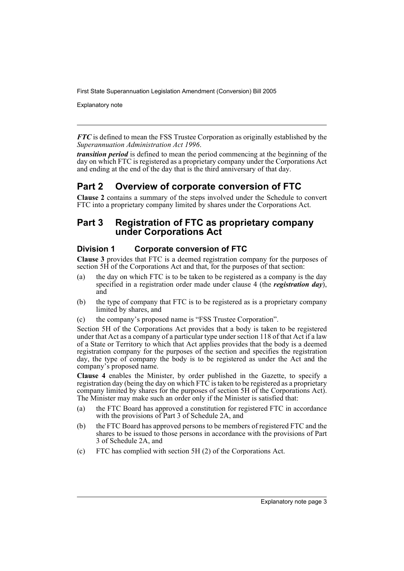Explanatory note

*FTC* is defined to mean the FSS Trustee Corporation as originally established by the *Superannuation Administration Act 1996*.

*transition period* is defined to mean the period commencing at the beginning of the day on which FTC is registered as a proprietary company under the Corporations Act and ending at the end of the day that is the third anniversary of that day.

## **Part 2 Overview of corporate conversion of FTC**

**Clause 2** contains a summary of the steps involved under the Schedule to convert FTC into a proprietary company limited by shares under the Corporations Act.

## **Part 3 Registration of FTC as proprietary company under Corporations Act**

## **Division 1 Corporate conversion of FTC**

**Clause 3** provides that FTC is a deemed registration company for the purposes of section 5H of the Corporations Act and that, for the purposes of that section:

- (a) the day on which FTC is to be taken to be registered as a company is the day specified in a registration order made under clause 4 (the *registration day*), and
- (b) the type of company that FTC is to be registered as is a proprietary company limited by shares, and
- (c) the company's proposed name is "FSS Trustee Corporation".

Section 5H of the Corporations Act provides that a body is taken to be registered under that Act as a company of a particular type under section 118 of that Act if a law of a State or Territory to which that Act applies provides that the body is a deemed registration company for the purposes of the section and specifies the registration day, the type of company the body is to be registered as under the Act and the company's proposed name.

**Clause 4** enables the Minister, by order published in the Gazette, to specify a registration day (being the day on which FTC is taken to be registered as a proprietary company limited by shares for the purposes of section 5H of the Corporations Act). The Minister may make such an order only if the Minister is satisfied that:

- (a) the FTC Board has approved a constitution for registered FTC in accordance with the provisions of Part 3 of Schedule 2A, and
- (b) the FTC Board has approved persons to be members of registered FTC and the shares to be issued to those persons in accordance with the provisions of Part 3 of Schedule 2A, and
- (c) FTC has complied with section 5H (2) of the Corporations Act.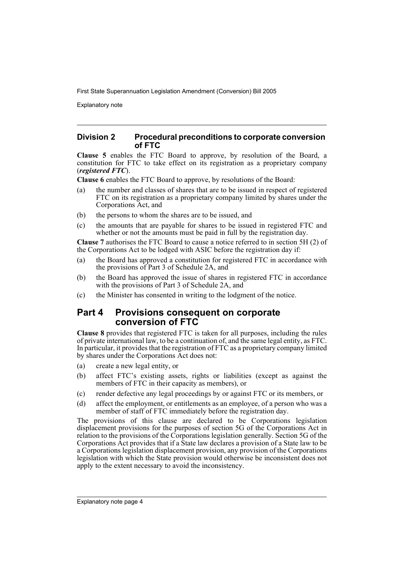Explanatory note

#### **Division 2 Procedural preconditions to corporate conversion of FTC**

**Clause 5** enables the FTC Board to approve, by resolution of the Board, a constitution for FTC to take effect on its registration as a proprietary company (*registered FTC*).

**Clause 6** enables the FTC Board to approve, by resolutions of the Board:

- (a) the number and classes of shares that are to be issued in respect of registered FTC on its registration as a proprietary company limited by shares under the Corporations Act, and
- (b) the persons to whom the shares are to be issued, and
- (c) the amounts that are payable for shares to be issued in registered FTC and whether or not the amounts must be paid in full by the registration day.

**Clause 7** authorises the FTC Board to cause a notice referred to in section 5H (2) of the Corporations Act to be lodged with ASIC before the registration day if:

- (a) the Board has approved a constitution for registered FTC in accordance with the provisions of Part 3 of Schedule 2A, and
- (b) the Board has approved the issue of shares in registered FTC in accordance with the provisions of Part 3 of Schedule 2A, and
- (c) the Minister has consented in writing to the lodgment of the notice.

## **Part 4 Provisions consequent on corporate conversion of FTC**

**Clause 8** provides that registered FTC is taken for all purposes, including the rules of private international law, to be a continuation of, and the same legal entity, as FTC. In particular, it provides that the registration of FTC as a proprietary company limited by shares under the Corporations Act does not:

- (a) create a new legal entity, or
- (b) affect FTC's existing assets, rights or liabilities (except as against the members of FTC in their capacity as members), or
- (c) render defective any legal proceedings by or against FTC or its members, or
- (d) affect the employment, or entitlements as an employee, of a person who was a member of staff of FTC immediately before the registration day.

The provisions of this clause are declared to be Corporations legislation displacement provisions for the purposes of section 5G of the Corporations Act in relation to the provisions of the Corporations legislation generally. Section 5G of the Corporations Act provides that if a State law declares a provision of a State law to be a Corporations legislation displacement provision, any provision of the Corporations legislation with which the State provision would otherwise be inconsistent does not apply to the extent necessary to avoid the inconsistency.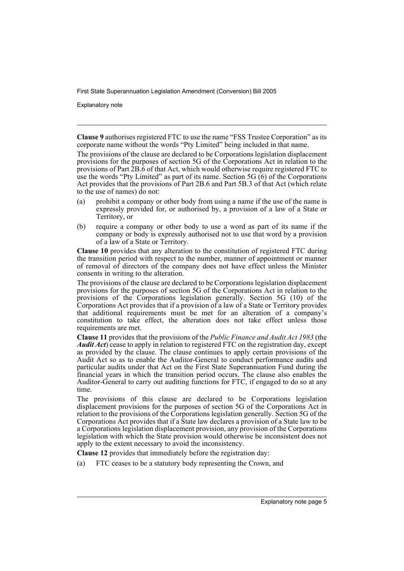Explanatory note

**Clause 9** authorises registered FTC to use the name "FSS Trustee Corporation" as its corporate name without the words "Pty Limited" being included in that name.

The provisions of the clause are declared to be Corporations legislation displacement provisions for the purposes of section 5G of the Corporations Act in relation to the provisions of Part  $\hat{2}B.\hat{6}$  of that Act, which would otherwise require registered FTC to use the words "Pty Limited" as part of its name. Section  $5G(6)$  of the Corporations Act provides that the provisions of Part 2B.6 and Part 5B.3 of that Act (which relate to the use of names) do not:

- (a) prohibit a company or other body from using a name if the use of the name is expressly provided for, or authorised by, a provision of a law of a State or Territory, or
- (b) require a company or other body to use a word as part of its name if the company or body is expressly authorised not to use that word by a provision of a law of a State or Territory.

**Clause 10** provides that any alteration to the constitution of registered FTC during the transition period with respect to the number, manner of appointment or manner of removal of directors of the company does not have effect unless the Minister consents in writing to the alteration.

The provisions of the clause are declared to be Corporations legislation displacement provisions for the purposes of section 5G of the Corporations Act in relation to the provisions of the Corporations legislation generally. Section 5G (10) of the Corporations Act provides that if a provision of a law of a State or Territory provides that additional requirements must be met for an alteration of a company's constitution to take effect, the alteration does not take effect unless those requirements are met.

**Clause 11** provides that the provisions of the *Public Finance and Audit Act 1983* (the *Audit Act*) cease to apply in relation to registered FTC on the registration day, except as provided by the clause. The clause continues to apply certain provisions of the Audit Act so as to enable the Auditor-General to conduct performance audits and particular audits under that Act on the First State Superannuation Fund during the financial years in which the transition period occurs. The clause also enables the Auditor-General to carry out auditing functions for FTC, if engaged to do so at any time.

The provisions of this clause are declared to be Corporations legislation displacement provisions for the purposes of section 5G of the Corporations Act in relation to the provisions of the Corporations legislation generally. Section 5G of the Corporations Act provides that if a State law declares a provision of a State law to be a Corporations legislation displacement provision, any provision of the Corporations legislation with which the State provision would otherwise be inconsistent does not apply to the extent necessary to avoid the inconsistency.

**Clause 12** provides that immediately before the registration day:

(a) FTC ceases to be a statutory body representing the Crown, and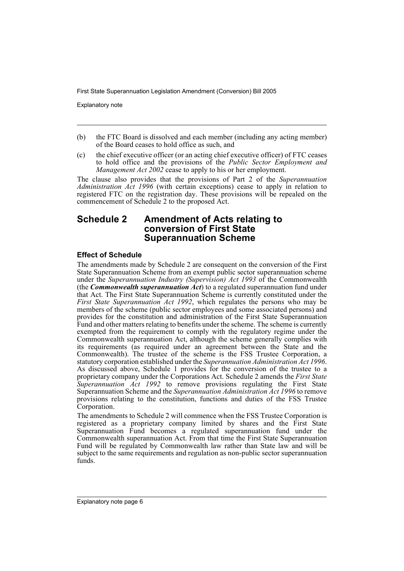Explanatory note

- (b) the FTC Board is dissolved and each member (including any acting member) of the Board ceases to hold office as such, and
- (c) the chief executive officer (or an acting chief executive officer) of FTC ceases to hold office and the provisions of the *Public Sector Employment and Management Act 2002* cease to apply to his or her employment.

The clause also provides that the provisions of Part 2 of the *Superannuation Administration Act 1996* (with certain exceptions) cease to apply in relation to registered FTC on the registration day. These provisions will be repealed on the commencement of Schedule 2 to the proposed Act.

## **Schedule 2 Amendment of Acts relating to conversion of First State Superannuation Scheme**

#### **Effect of Schedule**

The amendments made by Schedule 2 are consequent on the conversion of the First State Superannuation Scheme from an exempt public sector superannuation scheme under the *Superannuation Industry (Supervision) Act 1993* of the Commonwealth (the *Commonwealth superannuation*  $\vec{Act}$ *)* to a regulated superannuation fund under that Act. The First State Superannuation Scheme is currently constituted under the *First State Superannuation Act 1992*, which regulates the persons who may be members of the scheme (public sector employees and some associated persons) and provides for the constitution and administration of the First State Superannuation Fund and other matters relating to benefits under the scheme. The scheme is currently exempted from the requirement to comply with the regulatory regime under the Commonwealth superannuation Act, although the scheme generally complies with its requirements (as required under an agreement between the State and the Commonwealth). The trustee of the scheme is the FSS Trustee Corporation, a statutory corporation established under the *Superannuation Administration Act 1996*. As discussed above, Schedule 1 provides for the conversion of the trustee to a proprietary company under the Corporations Act. Schedule 2 amends the *First State Superannuation Act 1992* to remove provisions regulating the First State Superannuation Scheme and the *Superannuation Administration Act 1996* to remove provisions relating to the constitution, functions and duties of the FSS Trustee Corporation.

The amendments to Schedule 2 will commence when the FSS Trustee Corporation is registered as a proprietary company limited by shares and the First State Superannuation Fund becomes a regulated superannuation fund under the Commonwealth superannuation Act. From that time the First State Superannuation Fund will be regulated by Commonwealth law rather than State law and will be subject to the same requirements and regulation as non-public sector superannuation funds.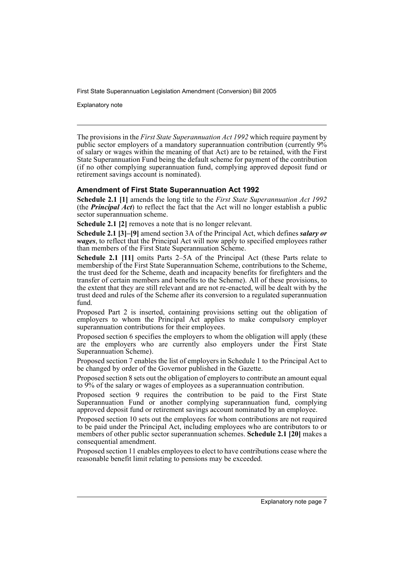Explanatory note

The provisions in the *First State Superannuation Act 1992* which require payment by public sector employers of a mandatory superannuation contribution (currently 9% of salary or wages within the meaning of that Act) are to be retained, with the First State Superannuation Fund being the default scheme for payment of the contribution (if no other complying superannuation fund, complying approved deposit fund or retirement savings account is nominated).

#### **Amendment of First State Superannuation Act 1992**

**Schedule 2.1 [1]** amends the long title to the *First State Superannuation Act 1992* (the *Principal Act*) to reflect the fact that the Act will no longer establish a public sector superannuation scheme.

**Schedule 2.1 [2]** removes a note that is no longer relevant.

**Schedule 2.1 [3]–[9]** amend section 3A of the Principal Act, which defines *salary or wages*, to reflect that the Principal Act will now apply to specified employees rather than members of the First State Superannuation Scheme.

**Schedule 2.1 [11]** omits Parts 2–5A of the Principal Act (these Parts relate to membership of the First State Superannuation Scheme, contributions to the Scheme, the trust deed for the Scheme, death and incapacity benefits for firefighters and the transfer of certain members and benefits to the Scheme). All of these provisions, to the extent that they are still relevant and are not re-enacted, will be dealt with by the trust deed and rules of the Scheme after its conversion to a regulated superannuation fund.

Proposed Part 2 is inserted, containing provisions setting out the obligation of employers to whom the Principal Act applies to make compulsory employer superannuation contributions for their employees.

Proposed section 6 specifies the employers to whom the obligation will apply (these are the employers who are currently also employers under the First State Superannuation Scheme).

Proposed section 7 enables the list of employers in Schedule 1 to the Principal Act to be changed by order of the Governor published in the Gazette.

Proposed section 8 sets out the obligation of employers to contribute an amount equal to 9% of the salary or wages of employees as a superannuation contribution.

Proposed section 9 requires the contribution to be paid to the First State Superannuation Fund or another complying superannuation fund, complying approved deposit fund or retirement savings account nominated by an employee.

Proposed section 10 sets out the employees for whom contributions are not required to be paid under the Principal Act, including employees who are contributors to or members of other public sector superannuation schemes. **Schedule 2.1 [20]** makes a consequential amendment.

Proposed section 11 enables employees to elect to have contributions cease where the reasonable benefit limit relating to pensions may be exceeded.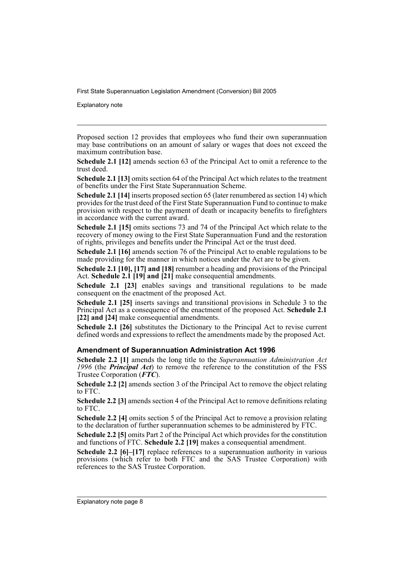Explanatory note

Proposed section 12 provides that employees who fund their own superannuation may base contributions on an amount of salary or wages that does not exceed the maximum contribution base.

**Schedule 2.1 [12]** amends section 63 of the Principal Act to omit a reference to the trust deed.

**Schedule 2.1 [13]** omits section 64 of the Principal Act which relates to the treatment of benefits under the First State Superannuation Scheme.

**Schedule 2.1 [14]** inserts proposed section 65 (later renumbered as section 14) which provides for the trust deed of the First State Superannuation Fund to continue to make provision with respect to the payment of death or incapacity benefits to firefighters in accordance with the current award.

**Schedule 2.1 [15]** omits sections 73 and 74 of the Principal Act which relate to the recovery of money owing to the First State Superannuation Fund and the restoration of rights, privileges and benefits under the Principal Act or the trust deed.

**Schedule 2.1 [16]** amends section 76 of the Principal Act to enable regulations to be made providing for the manner in which notices under the Act are to be given.

**Schedule 2.1 [10], [17] and [18]** renumber a heading and provisions of the Principal Act. **Schedule 2.1 [19] and [21]** make consequential amendments.

**Schedule 2.1 [23]** enables savings and transitional regulations to be made consequent on the enactment of the proposed Act.

**Schedule 2.1 [25]** inserts savings and transitional provisions in Schedule 3 to the Principal Act as a consequence of the enactment of the proposed Act. **Schedule 2.1 [22] and [24]** make consequential amendments.

**Schedule 2.1 [26]** substitutes the Dictionary to the Principal Act to revise current defined words and expressions to reflect the amendments made by the proposed Act.

#### **Amendment of Superannuation Administration Act 1996**

**Schedule 2.2 [1]** amends the long title to the *Superannuation Administration Act 1996* (the *Principal Act*) to remove the reference to the constitution of the FSS Trustee Corporation (*FTC*).

**Schedule 2.2 [2]** amends section 3 of the Principal Act to remove the object relating to FTC.

**Schedule 2.2 [3]** amends section 4 of the Principal Act to remove definitions relating to FTC.

**Schedule 2.2 [4]** omits section 5 of the Principal Act to remove a provision relating to the declaration of further superannuation schemes to be administered by FTC.

**Schedule 2.2 [5]** omits Part 2 of the Principal Act which provides for the constitution and functions of FTC. **Schedule 2.2 [19]** makes a consequential amendment.

**Schedule 2.2 [6]–[17]** replace references to a superannuation authority in various provisions (which refer to both FTC and the SAS Trustee Corporation) with references to the SAS Trustee Corporation.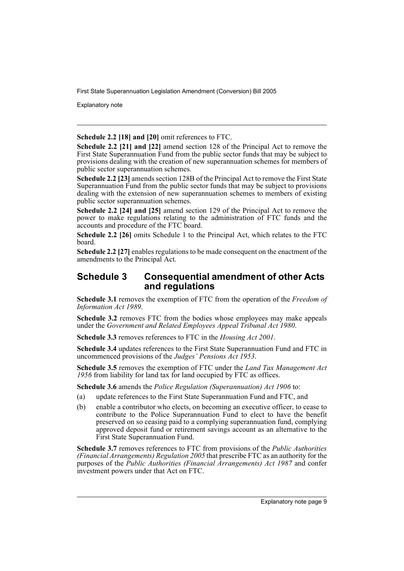Explanatory note

**Schedule 2.2 [18] and [20]** omit references to FTC.

**Schedule 2.2 [21] and [22]** amend section 128 of the Principal Act to remove the First State Superannuation Fund from the public sector funds that may be subject to provisions dealing with the creation of new superannuation schemes for members of public sector superannuation schemes.

**Schedule 2.2 [23]** amends section 128B of the Principal Act to remove the First State Superannuation Fund from the public sector funds that may be subject to provisions dealing with the extension of new superannuation schemes to members of existing public sector superannuation schemes.

**Schedule 2.2 [24] and [25]** amend section 129 of the Principal Act to remove the power to make regulations relating to the administration of FTC funds and the accounts and procedure of the FTC board.

**Schedule 2.2 [26]** omits Schedule 1 to the Principal Act, which relates to the FTC board.

**Schedule 2.2 [27]** enables regulations to be made consequent on the enactment of the amendments to the Principal Act.

## **Schedule 3 Consequential amendment of other Acts and regulations**

**Schedule 3.1** removes the exemption of FTC from the operation of the *Freedom of Information Act 1989*.

**Schedule 3.2** removes FTC from the bodies whose employees may make appeals under the *Government and Related Employees Appeal Tribunal Act 1980*.

**Schedule 3.3** removes references to FTC in the *Housing Act 2001*.

**Schedule 3.4** updates references to the First State Superannuation Fund and FTC in uncommenced provisions of the *Judges' Pensions Act 1953*.

**Schedule 3.5** removes the exemption of FTC under the *Land Tax Management Act 1956* from liability for land tax for land occupied by FTC as offices.

**Schedule 3.6** amends the *Police Regulation (Superannuation) Act 1906* to:

- (a) update references to the First State Superannuation Fund and FTC, and
- (b) enable a contributor who elects, on becoming an executive officer, to cease to contribute to the Police Superannuation Fund to elect to have the benefit preserved on so ceasing paid to a complying superannuation fund, complying approved deposit fund or retirement savings account as an alternative to the First State Superannuation Fund.

**Schedule 3.7** removes references to FTC from provisions of the *Public Authorities (Financial Arrangements) Regulation 2005* that prescribe FTC as an authority for the purposes of the *Public Authorities (Financial Arrangements) Act 1987* and confer investment powers under that Act on FTC.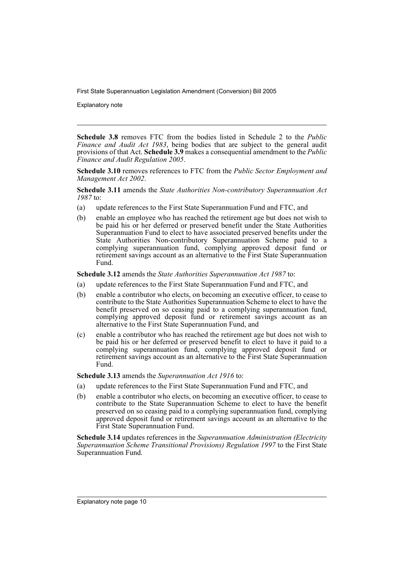Explanatory note

**Schedule 3.8** removes FTC from the bodies listed in Schedule 2 to the *Public Finance and Audit Act 1983*, being bodies that are subject to the general audit provisions of that Act. **Schedule 3.9** makes a consequential amendment to the *Public Finance and Audit Regulation 2005*.

**Schedule 3.10** removes references to FTC from the *Public Sector Employment and Management Act 2002*.

**Schedule 3.11** amends the *State Authorities Non-contributory Superannuation Act 1987* to:

- (a) update references to the First State Superannuation Fund and FTC, and
- (b) enable an employee who has reached the retirement age but does not wish to be paid his or her deferred or preserved benefit under the State Authorities Superannuation Fund to elect to have associated preserved benefits under the State Authorities Non-contributory Superannuation Scheme paid to a complying superannuation fund, complying approved deposit fund or retirement savings account as an alternative to the First State Superannuation Fund.

**Schedule 3.12** amends the *State Authorities Superannuation Act 1987* to:

- (a) update references to the First State Superannuation Fund and FTC, and
- (b) enable a contributor who elects, on becoming an executive officer, to cease to contribute to the State Authorities Superannuation Scheme to elect to have the benefit preserved on so ceasing paid to a complying superannuation fund, complying approved deposit fund or retirement savings account as an alternative to the First State Superannuation Fund, and
- (c) enable a contributor who has reached the retirement age but does not wish to be paid his or her deferred or preserved benefit to elect to have it paid to a complying superannuation fund, complying approved deposit fund or retirement savings account as an alternative to the First State Superannuation Fund.

#### **Schedule 3.13** amends the *Superannuation Act 1916* to:

- (a) update references to the First State Superannuation Fund and FTC, and
- (b) enable a contributor who elects, on becoming an executive officer, to cease to contribute to the State Superannuation Scheme to elect to have the benefit preserved on so ceasing paid to a complying superannuation fund, complying approved deposit fund or retirement savings account as an alternative to the First State Superannuation Fund.

**Schedule 3.14** updates references in the *Superannuation Administration (Electricity Superannuation Scheme Transitional Provisions) Regulation 1997* to the First State Superannuation Fund.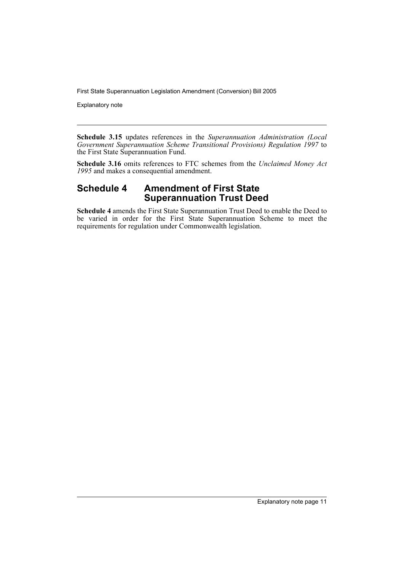Explanatory note

**Schedule 3.15** updates references in the *Superannuation Administration (Local Government Superannuation Scheme Transitional Provisions) Regulation 1997* to the First State Superannuation Fund.

**Schedule 3.16** omits references to FTC schemes from the *Unclaimed Money Act 1995* and makes a consequential amendment.

## **Schedule 4 Amendment of First State Superannuation Trust Deed**

**Schedule 4** amends the First State Superannuation Trust Deed to enable the Deed to be varied in order for the First State Superannuation Scheme to meet the requirements for regulation under Commonwealth legislation.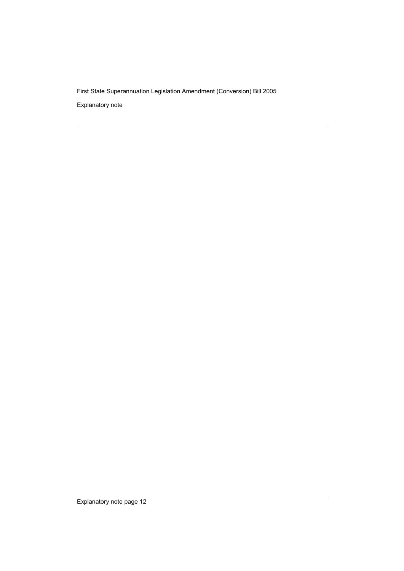Explanatory note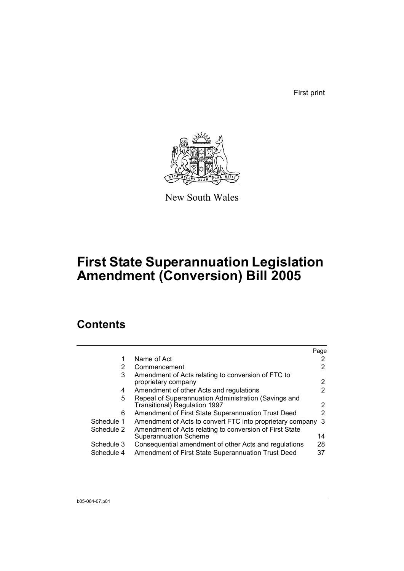First print



New South Wales

# **First State Superannuation Legislation Amendment (Conversion) Bill 2005**

# **Contents**

|            |                                                                                       | Page |
|------------|---------------------------------------------------------------------------------------|------|
|            | Name of Act                                                                           |      |
| 2          | Commencement                                                                          |      |
| 3          | Amendment of Acts relating to conversion of FTC to<br>proprietary company             | 2    |
| 4          | Amendment of other Acts and regulations                                               | 2    |
| 5          | Repeal of Superannuation Administration (Savings and<br>Transitional) Regulation 1997 | 2    |
| 6          | Amendment of First State Superannuation Trust Deed                                    |      |
| Schedule 1 | Amendment of Acts to convert FTC into proprietary company                             | - 3  |
| Schedule 2 | Amendment of Acts relating to conversion of First State<br>Superannuation Scheme      | 14   |
| Schedule 3 | Consequential amendment of other Acts and regulations                                 | 28   |
| Schedule 4 | Amendment of First State Superannuation Trust Deed                                    | 37   |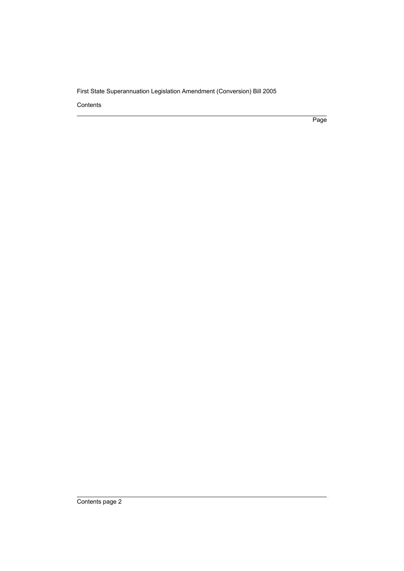Contents

Page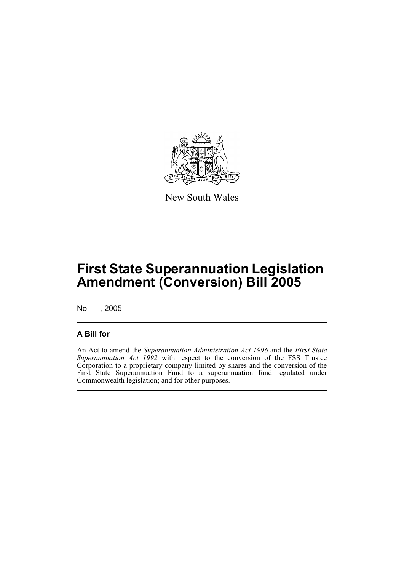

New South Wales

# **First State Superannuation Legislation Amendment (Conversion) Bill 2005**

No , 2005

## **A Bill for**

An Act to amend the *Superannuation Administration Act 1996* and the *First State Superannuation Act 1992* with respect to the conversion of the FSS Trustee Corporation to a proprietary company limited by shares and the conversion of the First State Superannuation Fund to a superannuation fund regulated under Commonwealth legislation; and for other purposes.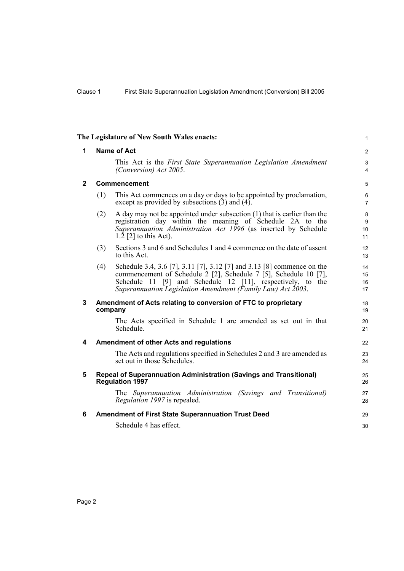<span id="page-15-5"></span><span id="page-15-4"></span><span id="page-15-3"></span><span id="page-15-2"></span><span id="page-15-1"></span><span id="page-15-0"></span>

|              |     | The Legislature of New South Wales enacts:                                                                                                                                                                                                                              | $\mathbf{1}$                      |
|--------------|-----|-------------------------------------------------------------------------------------------------------------------------------------------------------------------------------------------------------------------------------------------------------------------------|-----------------------------------|
| 1            |     | Name of Act                                                                                                                                                                                                                                                             | 2                                 |
|              |     | This Act is the First State Superannuation Legislation Amendment<br>(Conversion) $Act$ 2005.                                                                                                                                                                            | $\mathsf 3$<br>$\overline{4}$     |
| $\mathbf{2}$ |     | Commencement                                                                                                                                                                                                                                                            | 5                                 |
|              | (1) | This Act commences on a day or days to be appointed by proclamation,<br>except as provided by subsections $(3)$ and $(4)$ .                                                                                                                                             | 6<br>$\overline{7}$               |
|              | (2) | A day may not be appointed under subsection (1) that is earlier than the<br>registration day within the meaning of Schedule 2A to the<br>Superannuation Administration Act 1996 (as inserted by Schedule<br>$1.\overline{2}$ [2] to this Act).                          | 8<br>$\boldsymbol{9}$<br>10<br>11 |
|              | (3) | Sections 3 and 6 and Schedules 1 and 4 commence on the date of assent<br>to this Act.                                                                                                                                                                                   | 12<br>13                          |
|              | (4) | Schedule 3.4, 3.6 [7], 3.11 [7], 3.12 [7] and 3.13 [8] commence on the<br>commencement of Schedule 2 [2], Schedule 7 [5], Schedule 10 [7],<br>Schedule 11 [9] and Schedule 12 [11], respectively, to the<br>Superannuation Legislation Amendment (Family Law) Act 2003. | 14<br>15<br>16<br>17              |
| 3            |     | Amendment of Acts relating to conversion of FTC to proprietary<br>company                                                                                                                                                                                               | 18<br>19                          |
|              |     | The Acts specified in Schedule 1 are amended as set out in that<br>Schedule.                                                                                                                                                                                            | 20<br>21                          |
| 4            |     | <b>Amendment of other Acts and regulations</b>                                                                                                                                                                                                                          | 22                                |
|              |     | The Acts and regulations specified in Schedules 2 and 3 are amended as<br>set out in those Schedules.                                                                                                                                                                   | 23<br>24                          |
| 5            |     | Repeal of Superannuation Administration (Savings and Transitional)<br><b>Regulation 1997</b>                                                                                                                                                                            | 25<br>26                          |
|              |     | The Superannuation Administration (Savings and Transitional)<br><i>Regulation 1997</i> is repealed.                                                                                                                                                                     | 27<br>28                          |
| 6            |     | <b>Amendment of First State Superannuation Trust Deed</b>                                                                                                                                                                                                               | 29                                |
|              |     | Schedule 4 has effect.                                                                                                                                                                                                                                                  | 30                                |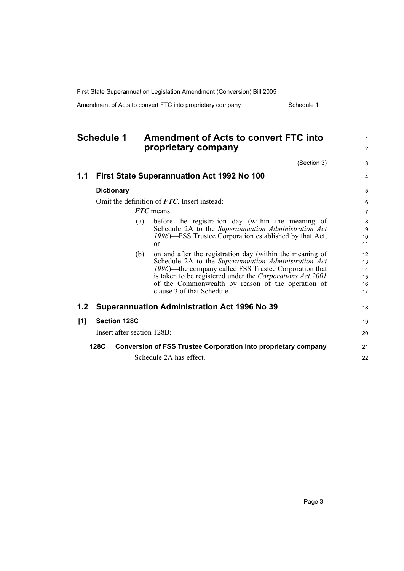Amendment of Acts to convert FTC into proprietary company Schedule 1

<span id="page-16-0"></span>

|     | <b>Schedule 1</b>          |     | <b>Amendment of Acts to convert FTC into</b>                                                                                                                                                                                                                                                                              | $\mathbf{1}$                     |
|-----|----------------------------|-----|---------------------------------------------------------------------------------------------------------------------------------------------------------------------------------------------------------------------------------------------------------------------------------------------------------------------------|----------------------------------|
|     |                            |     | proprietary company                                                                                                                                                                                                                                                                                                       | 2                                |
|     |                            |     | (Section 3)                                                                                                                                                                                                                                                                                                               | 3                                |
| 1.1 |                            |     | First State Superannuation Act 1992 No 100                                                                                                                                                                                                                                                                                | $\overline{4}$                   |
|     | <b>Dictionary</b>          |     |                                                                                                                                                                                                                                                                                                                           | 5                                |
|     |                            |     | Omit the definition of FTC. Insert instead:                                                                                                                                                                                                                                                                               | 6                                |
|     |                            |     | <b>FTC</b> means:                                                                                                                                                                                                                                                                                                         | $\overline{7}$                   |
|     |                            | (a) | before the registration day (within the meaning of<br>Schedule 2A to the Superannuation Administration Act<br>1996)—FSS Trustee Corporation established by that Act,<br>$\alpha$                                                                                                                                          | 8<br>9<br>10<br>11               |
|     |                            | (b) | on and after the registration day (within the meaning of<br>Schedule 2A to the Superannuation Administration Act<br>1996)—the company called FSS Trustee Corporation that<br>is taken to be registered under the Corporations Act 2001<br>of the Commonwealth by reason of the operation of<br>clause 3 of that Schedule. | 12<br>13<br>14<br>15<br>16<br>17 |
| 1.2 |                            |     | <b>Superannuation Administration Act 1996 No 39</b>                                                                                                                                                                                                                                                                       | 18                               |
| [1] | <b>Section 128C</b>        |     |                                                                                                                                                                                                                                                                                                                           | 19                               |
|     | Insert after section 128B: |     |                                                                                                                                                                                                                                                                                                                           | 20                               |
|     | 128C                       |     | <b>Conversion of FSS Trustee Corporation into proprietary company</b>                                                                                                                                                                                                                                                     | 21                               |
|     |                            |     | Schedule 2A has effect.                                                                                                                                                                                                                                                                                                   | 22                               |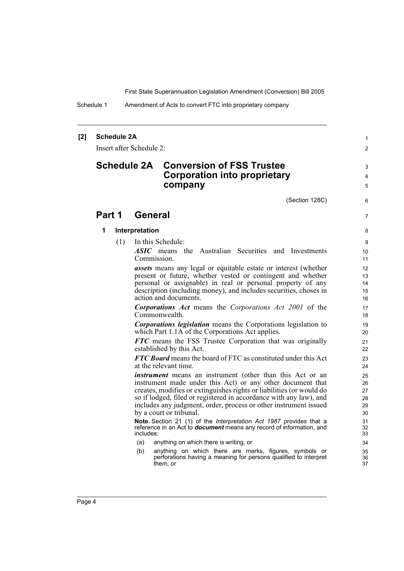Schedule 1 Amendment of Acts to convert FTC into proprietary company

#### **[2] Schedule 2A**

Insert after Schedule 2:

## **Schedule 2A Conversion of FSS Trustee Corporation into proprietary company**

(Section 128C)

6 7

1  $\overline{2}$ 

3 4 5

## **Part 1 General**

#### **1 Interpretation**

(1) In this Schedule:

*ASIC* means the Australian Securities and Investments **Commission** 

*assets* means any legal or equitable estate or interest (whether present or future, whether vested or contingent and whether personal or assignable) in real or personal property of any description (including money), and includes securities, choses in action and documents.

*Corporations Act* means the *Corporations Act 2001* of the Commonwealth.

*Corporations legislation* means the Corporations legislation to which Part 1.1A of the Corporations Act applies.

*FTC* means the FSS Trustee Corporation that was originally established by this Act.

*FTC Board* means the board of FTC as constituted under this Act at the relevant time.

*instrument* means an instrument (other than this Act or an instrument made under this Act) or any other document that creates, modifies or extinguishes rights or liabilities (or would do so if lodged, filed or registered in accordance with any law), and includes any judgment, order, process or other instrument issued by a court or tribunal.

**Note.** Section 21 (1) of the *Interpretation Act 1987* provides that a reference in an Act to *document* means any record of information, and includes:

- (a) anything on which there is writing, or
- (b) anything on which there are marks, figures, symbols or perforations having a meaning for persons qualified to interpret them, or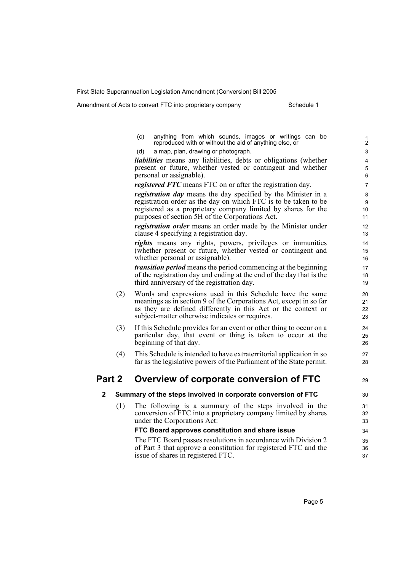Amendment of Acts to convert FTC into proprietary company Schedule 1

29

|        |                                                                                                                                                                                                                                                             | anything from which sounds, images or writings can be<br>(c)<br>reproduced with or without the aid of anything else, or                                                                                                                             |  |  |  |
|--------|-------------------------------------------------------------------------------------------------------------------------------------------------------------------------------------------------------------------------------------------------------------|-----------------------------------------------------------------------------------------------------------------------------------------------------------------------------------------------------------------------------------------------------|--|--|--|
|        |                                                                                                                                                                                                                                                             | a map, plan, drawing or photograph.<br>(d)                                                                                                                                                                                                          |  |  |  |
|        |                                                                                                                                                                                                                                                             | <i>liabilities</i> means any liabilities, debts or obligations (whether<br>present or future, whether vested or contingent and whether<br>personal or assignable).                                                                                  |  |  |  |
|        | <i>registered FTC</i> means FTC on or after the registration day.                                                                                                                                                                                           |                                                                                                                                                                                                                                                     |  |  |  |
|        | <i>registration day</i> means the day specified by the Minister in a<br>registration order as the day on which FTC is to be taken to be<br>registered as a proprietary company limited by shares for the<br>purposes of section 5H of the Corporations Act. |                                                                                                                                                                                                                                                     |  |  |  |
|        |                                                                                                                                                                                                                                                             | registration order means an order made by the Minister under<br>clause 4 specifying a registration day.                                                                                                                                             |  |  |  |
|        |                                                                                                                                                                                                                                                             | rights means any rights, powers, privileges or immunities<br>(whether present or future, whether vested or contingent and<br>whether personal or assignable).                                                                                       |  |  |  |
|        |                                                                                                                                                                                                                                                             | <i>transition period</i> means the period commencing at the beginning<br>of the registration day and ending at the end of the day that is the<br>third anniversary of the registration day.                                                         |  |  |  |
|        | (2)                                                                                                                                                                                                                                                         | Words and expressions used in this Schedule have the same<br>meanings as in section 9 of the Corporations Act, except in so far<br>as they are defined differently in this Act or the context or<br>subject-matter otherwise indicates or requires. |  |  |  |
|        | (3)                                                                                                                                                                                                                                                         | If this Schedule provides for an event or other thing to occur on a<br>particular day, that event or thing is taken to occur at the<br>beginning of that day.                                                                                       |  |  |  |
|        | (4)                                                                                                                                                                                                                                                         | This Schedule is intended to have extraterritorial application in so<br>far as the legislative powers of the Parliament of the State permit.                                                                                                        |  |  |  |
| Part 2 |                                                                                                                                                                                                                                                             | Overview of corporate conversion of FTC                                                                                                                                                                                                             |  |  |  |
| 2      |                                                                                                                                                                                                                                                             | Summary of the steps involved in corporate conversion of FTC                                                                                                                                                                                        |  |  |  |
|        | (1)                                                                                                                                                                                                                                                         | The following is a summary of the steps involved in the<br>conversion of FTC into a proprietary company limited by shares<br>under the Corporations Act:                                                                                            |  |  |  |
|        |                                                                                                                                                                                                                                                             | FTC Board approves constitution and share issue                                                                                                                                                                                                     |  |  |  |
|        |                                                                                                                                                                                                                                                             | The FTC Board passes resolutions in accordance with Division 2<br>of Part 3 that approve a constitution for registered FTC and the<br>issue of shares in registered FTC.                                                                            |  |  |  |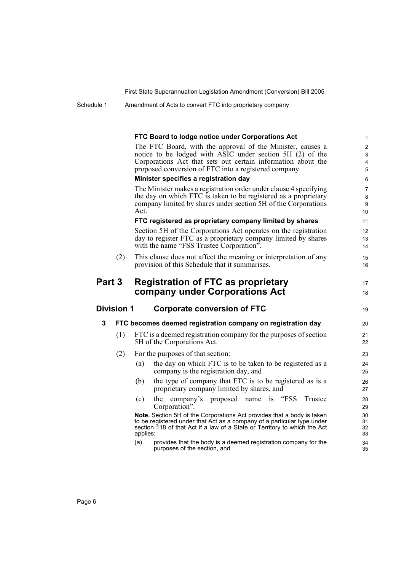| Schedule 1 | Amendment of Acts to convert FTC into proprietary company |
|------------|-----------------------------------------------------------|
|------------|-----------------------------------------------------------|

|   |                   | FTC Board to lodge notice under Corporations Act                                                                        | 1                            |
|---|-------------------|-------------------------------------------------------------------------------------------------------------------------|------------------------------|
|   |                   | The FTC Board, with the approval of the Minister, causes a<br>notice to be lodged with ASIC under section 5H (2) of the | $\overline{\mathbf{c}}$<br>3 |
|   |                   | Corporations Act that sets out certain information about the                                                            | 4                            |
|   |                   | proposed conversion of FTC into a registered company.                                                                   | 5                            |
|   |                   | Minister specifies a registration day                                                                                   | 6                            |
|   |                   | The Minister makes a registration order under clause 4 specifying                                                       | 7                            |
|   |                   | the day on which FTC is taken to be registered as a proprietary                                                         | 8                            |
|   |                   | company limited by shares under section 5H of the Corporations<br>Act.                                                  | 9<br>10                      |
|   |                   | FTC registered as proprietary company limited by shares                                                                 | 11                           |
|   |                   | Section 5H of the Corporations Act operates on the registration                                                         | 12                           |
|   |                   | day to register FTC as a proprietary company limited by shares                                                          | 13                           |
|   |                   | with the name "FSS Trustee Corporation".                                                                                | 14                           |
|   | (2)               | This clause does not affect the meaning or interpretation of any                                                        | 15                           |
|   |                   | provision of this Schedule that it summarises.                                                                          | 16                           |
|   | Part 3            |                                                                                                                         |                              |
|   |                   | <b>Registration of FTC as proprietary</b><br>company under Corporations Act                                             | 17                           |
|   |                   |                                                                                                                         | 18                           |
|   | <b>Division 1</b> | <b>Corporate conversion of FTC</b>                                                                                      | 19                           |
| 3 |                   | FTC becomes deemed registration company on registration day                                                             | 20                           |
|   | (1)               | FTC is a deemed registration company for the purposes of section                                                        | 21                           |
|   |                   |                                                                                                                         |                              |
|   |                   | 5H of the Corporations Act.                                                                                             | 22                           |
|   | (2)               | For the purposes of that section:                                                                                       | 23                           |
|   |                   | the day on which FTC is to be taken to be registered as a<br>(a)                                                        | 24                           |
|   |                   | company is the registration day, and                                                                                    | 25                           |
|   |                   | the type of company that FTC is to be registered as is a<br>(b)                                                         | 26                           |
|   |                   | proprietary company limited by shares, and                                                                              | 27                           |
|   |                   | proposed name<br>is<br>"FSS<br>(c)<br>the company's<br>Trustee                                                          | 28<br>29                     |
|   |                   | Corporation".<br>Note. Section 5H of the Corporations Act provides that a body is taken                                 | 30                           |
|   |                   | to be registered under that Act as a company of a particular type under                                                 | 31                           |
|   |                   | section 118 of that Act if a law of a State or Territory to which the Act<br>applies:                                   | 32<br>33                     |
|   |                   | provides that the body is a deemed registration company for the<br>(a)<br>purposes of the section, and                  | 34<br>35                     |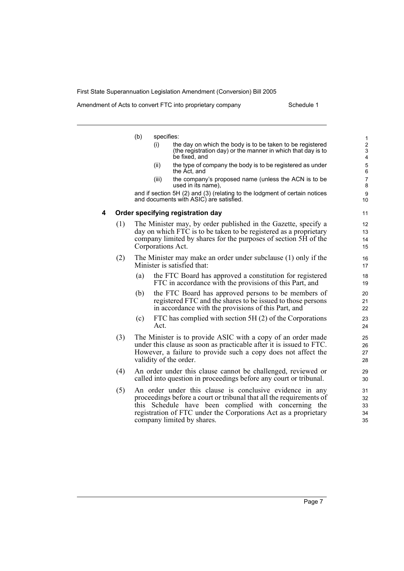Amendment of Acts to convert FTC into proprietary company Schedule 1

(b) specifies: (i) the day on which the body is to be taken to be registered (the registration day) or the manner in which that day is to be fixed, and (ii) the type of company the body is to be registered as under the Act, and (iii) the company's proposed name (unless the ACN is to be used in its name), and if section 5H (2) and (3) (relating to the lodgment of certain notices and documents with ASIC) are satisfied. **4 Order specifying registration day** (1) The Minister may, by order published in the Gazette, specify a day on which  $FT\check{C}$  is to be taken to be registered as a proprietary company limited by shares for the purposes of section 5H of the Corporations Act. (2) The Minister may make an order under subclause (1) only if the Minister is satisfied that: (a) the FTC Board has approved a constitution for registered FTC in accordance with the provisions of this Part, and (b) the FTC Board has approved persons to be members of registered FTC and the shares to be issued to those persons in accordance with the provisions of this Part, and (c) FTC has complied with section 5H (2) of the Corporations Act. (3) The Minister is to provide ASIC with a copy of an order made under this clause as soon as practicable after it is issued to FTC. However, a failure to provide such a copy does not affect the validity of the order. (4) An order under this clause cannot be challenged, reviewed or called into question in proceedings before any court or tribunal. (5) An order under this clause is conclusive evidence in any proceedings before a court or tribunal that all the requirements of this Schedule have been complied with concerning the registration of FTC under the Corporations Act as a proprietary company limited by shares. 1 2 3 4 5 6 7 8 9 10 11 12 13 14 15 16 17 18 19 20 21 22  $23$ 24 25 26 27 28 29 30 31 32 33 34 35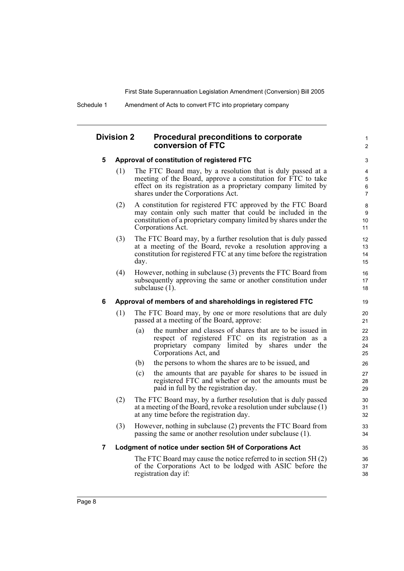1  $\overline{2}$ 

#### **Division 2 Procedural preconditions to corporate conversion of FTC**

#### **5 Approval of constitution of registered FTC**

- (1) The FTC Board may, by a resolution that is duly passed at a meeting of the Board, approve a constitution for FTC to take effect on its registration as a proprietary company limited by shares under the Corporations Act.
- (2) A constitution for registered FTC approved by the FTC Board may contain only such matter that could be included in the constitution of a proprietary company limited by shares under the Corporations Act.
- (3) The FTC Board may, by a further resolution that is duly passed at a meeting of the Board, revoke a resolution approving a constitution for registered FTC at any time before the registration day.
- (4) However, nothing in subclause (3) prevents the FTC Board from subsequently approving the same or another constitution under subclause  $(1)$ .

#### **6 Approval of members of and shareholdings in registered FTC**

- (1) The FTC Board may, by one or more resolutions that are duly passed at a meeting of the Board, approve:
	- (a) the number and classes of shares that are to be issued in respect of registered FTC on its registration as a proprietary company limited by shares under the Corporations Act, and
	- (b) the persons to whom the shares are to be issued, and
	- (c) the amounts that are payable for shares to be issued in registered FTC and whether or not the amounts must be paid in full by the registration day.
- (2) The FTC Board may, by a further resolution that is duly passed at a meeting of the Board, revoke a resolution under subclause (1) at any time before the registration day.
- (3) However, nothing in subclause (2) prevents the FTC Board from passing the same or another resolution under subclause (1).

#### **7 Lodgment of notice under section 5H of Corporations Act**

The FTC Board may cause the notice referred to in section 5H (2) of the Corporations Act to be lodged with ASIC before the registration day if: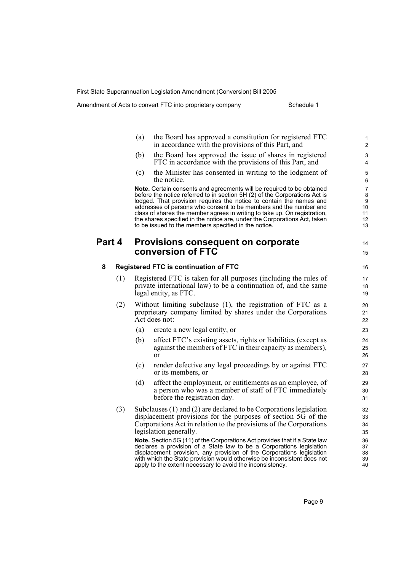Amendment of Acts to convert FTC into proprietary company Schedule 1

|        |     | (a) | the Board has approved a constitution for registered FTC<br>in accordance with the provisions of this Part, and                                                                                                                                                                                                                                                                                                                                                                                                   | 1<br>2                                           |
|--------|-----|-----|-------------------------------------------------------------------------------------------------------------------------------------------------------------------------------------------------------------------------------------------------------------------------------------------------------------------------------------------------------------------------------------------------------------------------------------------------------------------------------------------------------------------|--------------------------------------------------|
|        |     | (b) | the Board has approved the issue of shares in registered<br>FTC in accordance with the provisions of this Part, and                                                                                                                                                                                                                                                                                                                                                                                               | 3<br>4                                           |
|        |     | (c) | the Minister has consented in writing to the lodgment of<br>the notice.                                                                                                                                                                                                                                                                                                                                                                                                                                           | 5<br>6                                           |
|        |     |     | Note. Certain consents and agreements will be required to be obtained<br>before the notice referred to in section 5H (2) of the Corporations Act is<br>lodged. That provision requires the notice to contain the names and<br>addresses of persons who consent to be members and the number and<br>class of shares the member agrees in writing to take up. On registration,<br>the shares specified in the notice are, under the Corporations Act, taken<br>to be issued to the members specified in the notice. | $\overline{7}$<br>8<br>9<br>10<br>11<br>12<br>13 |
| Part 4 |     |     | Provisions consequent on corporate                                                                                                                                                                                                                                                                                                                                                                                                                                                                                | 14                                               |
|        |     |     | conversion of FTC                                                                                                                                                                                                                                                                                                                                                                                                                                                                                                 | 15                                               |
| 8      |     |     | Registered FTC is continuation of FTC                                                                                                                                                                                                                                                                                                                                                                                                                                                                             | 16                                               |
|        | (1) |     | Registered FTC is taken for all purposes (including the rules of<br>private international law) to be a continuation of, and the same<br>legal entity, as FTC.                                                                                                                                                                                                                                                                                                                                                     | 17<br>18<br>19                                   |
|        | (2) |     | Without limiting subclause (1), the registration of FTC as a<br>proprietary company limited by shares under the Corporations<br>Act does not:                                                                                                                                                                                                                                                                                                                                                                     | 20<br>21<br>22                                   |
|        |     | (a) | create a new legal entity, or                                                                                                                                                                                                                                                                                                                                                                                                                                                                                     | 23                                               |
|        |     | (b) | affect FTC's existing assets, rights or liabilities (except as<br>against the members of FTC in their capacity as members),<br>or                                                                                                                                                                                                                                                                                                                                                                                 | 24<br>25<br>26                                   |
|        |     | (c) | render defective any legal proceedings by or against FTC<br>or its members, or                                                                                                                                                                                                                                                                                                                                                                                                                                    | 27<br>28                                         |
|        |     | (d) | affect the employment, or entitlements as an employee, of<br>a person who was a member of staff of FTC immediately<br>before the registration day.                                                                                                                                                                                                                                                                                                                                                                | 29<br>30<br>31                                   |
|        | (3) |     | Subclauses $(1)$ and $(2)$ are declared to be Corporations legislation<br>displacement provisions for the purposes of section $5\bar{G}$ of the<br>Corporations Act in relation to the provisions of the Corporations<br>legislation generally.                                                                                                                                                                                                                                                                   | 32<br>33<br>34<br>35                             |
|        |     |     | Note. Section 5G (11) of the Corporations Act provides that if a State law<br>declares a provision of a State law to be a Corporations legislation<br>displacement provision, any provision of the Corporations legislation<br>with which the State provision would otherwise be inconsistent does not<br>apply to the extent necessary to avoid the inconsistency.                                                                                                                                               | 36<br>37<br>38<br>39<br>40                       |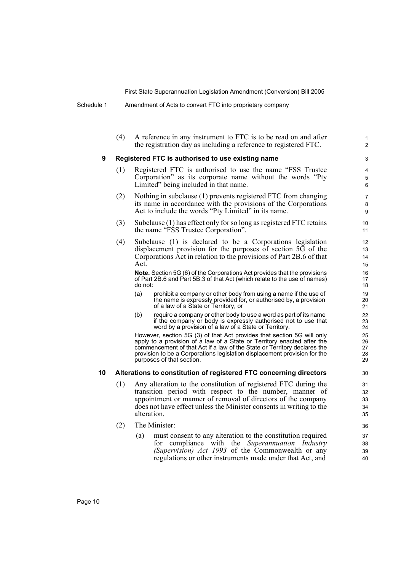Schedule 1 Amendment of Acts to convert FTC into proprietary company

|    | (4) |             | A reference in any instrument to FTC is to be read on and after<br>the registration day as including a reference to registered FTC.                                                                                                                                                                                                     | 1<br>$\overline{c}$        |
|----|-----|-------------|-----------------------------------------------------------------------------------------------------------------------------------------------------------------------------------------------------------------------------------------------------------------------------------------------------------------------------------------|----------------------------|
| 9  |     |             | Registered FTC is authorised to use existing name                                                                                                                                                                                                                                                                                       | 3                          |
|    | (1) |             | Registered FTC is authorised to use the name "FSS Trustee"<br>Corporation" as its corporate name without the words "Pty<br>Limited" being included in that name.                                                                                                                                                                        | 4<br>5<br>6                |
|    | (2) |             | Nothing in subclause (1) prevents registered FTC from changing<br>its name in accordance with the provisions of the Corporations<br>Act to include the words "Pty Limited" in its name.                                                                                                                                                 | $\overline{7}$<br>8<br>9   |
|    | (3) |             | Subclause (1) has effect only for so long as registered FTC retains<br>the name "FSS Trustee Corporation".                                                                                                                                                                                                                              | 10<br>11                   |
|    | (4) | Act.        | Subclause (1) is declared to be a Corporations legislation<br>displacement provision for the purposes of section $5\bar{G}$ of the<br>Corporations Act in relation to the provisions of Part 2B.6 of that                                                                                                                               | 12<br>13<br>14<br>15       |
|    |     | do not:     | Note. Section 5G (6) of the Corporations Act provides that the provisions<br>of Part 2B.6 and Part 5B.3 of that Act (which relate to the use of names)                                                                                                                                                                                  | 16<br>17<br>18             |
|    |     | (a)         | prohibit a company or other body from using a name if the use of<br>the name is expressly provided for, or authorised by, a provision<br>of a law of a State or Territory, or                                                                                                                                                           | 19<br>20<br>21             |
|    |     | (b)         | require a company or other body to use a word as part of its name<br>if the company or body is expressly authorised not to use that<br>word by a provision of a law of a State or Territory.                                                                                                                                            | 22<br>23<br>24             |
|    |     |             | However, section 5G (3) of that Act provides that section 5G will only<br>apply to a provision of a law of a State or Territory enacted after the<br>commencement of that Act if a law of the State or Territory declares the<br>provision to be a Corporations legislation displacement provision for the<br>purposes of that section. | 25<br>26<br>27<br>28<br>29 |
| 10 |     |             | Alterations to constitution of registered FTC concerning directors                                                                                                                                                                                                                                                                      | 30                         |
|    | (1) | alteration. | Any alteration to the constitution of registered FTC during the<br>transition period with respect to the number, manner of<br>appointment or manner of removal of directors of the company<br>does not have effect unless the Minister consents in writing to the                                                                       | 31<br>32<br>33<br>34<br>35 |
|    | (2) |             | The Minister:                                                                                                                                                                                                                                                                                                                           | 36                         |
|    |     | (a)         | must consent to any alteration to the constitution required<br>for compliance with the Superannuation Industry<br>(Supervision) Act 1993 of the Commonwealth or any<br>regulations or other instruments made under that Act, and                                                                                                        | 37<br>38<br>39<br>40       |
|    |     |             |                                                                                                                                                                                                                                                                                                                                         |                            |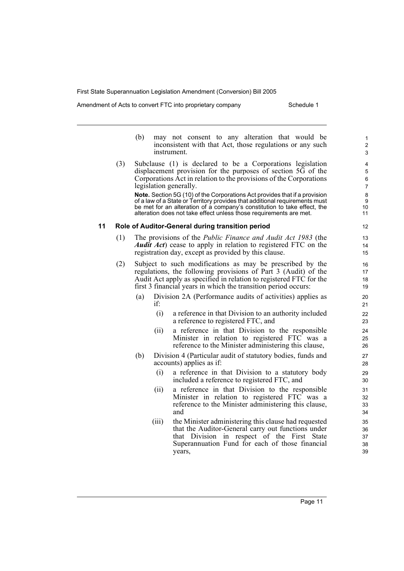Amendment of Acts to convert FTC into proprietary company Schedule 1

- (b) may not consent to any alteration that would be inconsistent with that Act, those regulations or any such instrument.
- (3) Subclause (1) is declared to be a Corporations legislation displacement provision for the purposes of section 5G of the Corporations Act in relation to the provisions of the Corporations legislation generally.

**Note.** Section 5G (10) of the Corporations Act provides that if a provision of a law of a State or Territory provides that additional requirements must be met for an alteration of a company's constitution to take effect, the alteration does not take effect unless those requirements are met.

#### **11 Role of Auditor-General during transition period**

- (1) The provisions of the *Public Finance and Audit Act 1983* (the *Audit Act*) cease to apply in relation to registered FTC on the registration day, except as provided by this clause.
- (2) Subject to such modifications as may be prescribed by the regulations, the following provisions of Part 3 (Audit) of the Audit Act apply as specified in relation to registered FTC for the first 3 financial years in which the transition period occurs:
	- (a) Division 2A (Performance audits of activities) applies as if:
		- (i) a reference in that Division to an authority included a reference to registered FTC, and
		- (ii) a reference in that Division to the responsible Minister in relation to registered FTC was a reference to the Minister administering this clause,
	- (b) Division 4 (Particular audit of statutory bodies, funds and accounts) applies as if:
		- (i) a reference in that Division to a statutory body included a reference to registered FTC, and
		- (ii) a reference in that Division to the responsible Minister in relation to registered FTC was a reference to the Minister administering this clause, and
		- (iii) the Minister administering this clause had requested that the Auditor-General carry out functions under that Division in respect of the First State Superannuation Fund for each of those financial years,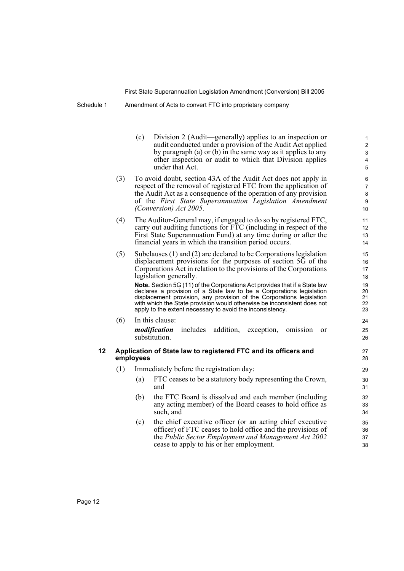Schedule 1 Amendment of Acts to convert FTC into proprietary company

|    |     | (c)<br>Division 2 (Audit—generally) applies to an inspection or<br>audit conducted under a provision of the Audit Act applied<br>by paragraph (a) or (b) in the same way as it applies to any<br>other inspection or audit to which that Division applies<br>under that Act.                                                                                                                                                                                                                                                                                                                                   | $\mathbf{1}$<br>$\overline{\mathbf{c}}$<br>3<br>$\overline{\mathbf{4}}$<br>5 |
|----|-----|----------------------------------------------------------------------------------------------------------------------------------------------------------------------------------------------------------------------------------------------------------------------------------------------------------------------------------------------------------------------------------------------------------------------------------------------------------------------------------------------------------------------------------------------------------------------------------------------------------------|------------------------------------------------------------------------------|
|    | (3) | To avoid doubt, section 43A of the Audit Act does not apply in<br>respect of the removal of registered FTC from the application of<br>the Audit Act as a consequence of the operation of any provision<br>of the First State Superannuation Legislation Amendment<br>(Conversion) Act 2005.                                                                                                                                                                                                                                                                                                                    | 6<br>$\overline{7}$<br>8<br>9<br>10                                          |
|    | (4) | The Auditor-General may, if engaged to do so by registered FTC,<br>carry out auditing functions for FTC (including in respect of the<br>First State Superannuation Fund) at any time during or after the<br>financial years in which the transition period occurs.                                                                                                                                                                                                                                                                                                                                             | 11<br>12<br>13<br>14                                                         |
|    | (5) | Subclauses $(1)$ and $(2)$ are declared to be Corporations legislation<br>displacement provisions for the purposes of section 5G of the<br>Corporations Act in relation to the provisions of the Corporations<br>legislation generally.<br>Note. Section 5G (11) of the Corporations Act provides that if a State law<br>declares a provision of a State law to be a Corporations legislation<br>displacement provision, any provision of the Corporations legislation<br>with which the State provision would otherwise be inconsistent does not<br>apply to the extent necessary to avoid the inconsistency. | 15<br>16<br>17<br>18<br>19<br>20<br>21<br>22<br>23                           |
|    | (6) | In this clause:<br>modification<br>includes<br>addition,<br>exception,<br>omission<br><sub>or</sub><br>substitution.                                                                                                                                                                                                                                                                                                                                                                                                                                                                                           | 24<br>25<br>26                                                               |
| 12 |     | Application of State law to registered FTC and its officers and<br>employees                                                                                                                                                                                                                                                                                                                                                                                                                                                                                                                                   | 27<br>28                                                                     |
|    | (1) | Immediately before the registration day:                                                                                                                                                                                                                                                                                                                                                                                                                                                                                                                                                                       | 29                                                                           |
|    |     | FTC ceases to be a statutory body representing the Crown,<br>(a)<br>and                                                                                                                                                                                                                                                                                                                                                                                                                                                                                                                                        | 30<br>31                                                                     |
|    |     | the FTC Board is dissolved and each member (including<br>(b)<br>any acting member) of the Board ceases to hold office as<br>such, and                                                                                                                                                                                                                                                                                                                                                                                                                                                                          | 32<br>33<br>34                                                               |
|    |     | the chief executive officer (or an acting chief executive<br>(c)<br>officer) of FTC ceases to hold office and the provisions of<br>the Public Sector Employment and Management Act 2002<br>cease to apply to his or her employment.                                                                                                                                                                                                                                                                                                                                                                            | 35<br>36<br>37<br>38                                                         |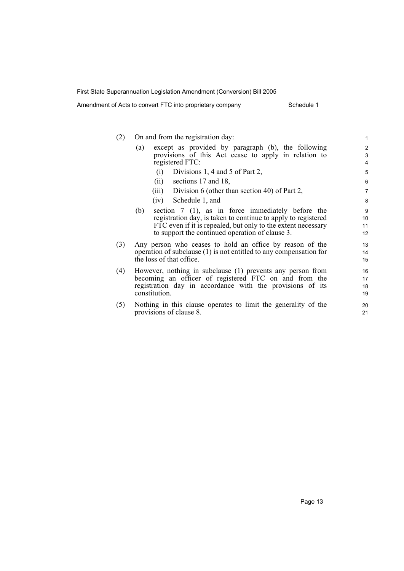Amendment of Acts to convert FTC into proprietary company Schedule 1

| (2) | On and from the registration day:                                                                                                                                                                                                            | 1                        |
|-----|----------------------------------------------------------------------------------------------------------------------------------------------------------------------------------------------------------------------------------------------|--------------------------|
|     | except as provided by paragraph (b), the following<br>(a)<br>provisions of this Act cease to apply in relation to<br>registered FTC:                                                                                                         | $\overline{c}$<br>3<br>4 |
|     | Divisions 1, 4 and 5 of Part 2,<br>(i)                                                                                                                                                                                                       | 5                        |
|     | sections 17 and 18,<br>(i)                                                                                                                                                                                                                   | 6                        |
|     | Division 6 (other than section 40) of Part 2,<br>(iii)                                                                                                                                                                                       | 7                        |
|     | Schedule 1, and<br>(iv)                                                                                                                                                                                                                      | 8                        |
|     | section 7 (1), as in force immediately before the<br>(b)<br>registration day, is taken to continue to apply to registered<br>FTC even if it is repealed, but only to the extent necessary<br>to support the continued operation of clause 3. | 9<br>10<br>11<br>12      |
| (3) | Any person who ceases to hold an office by reason of the<br>operation of subclause $(1)$ is not entitled to any compensation for<br>the loss of that office.                                                                                 | 13<br>14<br>15           |
| (4) | However, nothing in subclause (1) prevents any person from<br>becoming an officer of registered FTC on and from the<br>registration day in accordance with the provisions of its<br>constitution.                                            | 16<br>17<br>18<br>19     |
| (5) | Nothing in this clause operates to limit the generality of the<br>provisions of clause 8.                                                                                                                                                    | 20<br>21                 |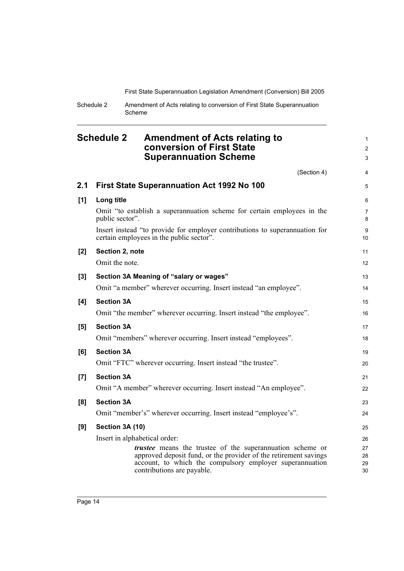Schedule 2 Amendment of Acts relating to conversion of First State Superannuation Scheme

<span id="page-27-0"></span>

|     | <b>Schedule 2</b><br><b>Amendment of Acts relating to</b><br><b>conversion of First State</b><br><b>Superannuation Scheme</b>        | 1<br>$\overline{2}$<br>3 |
|-----|--------------------------------------------------------------------------------------------------------------------------------------|--------------------------|
|     | (Section 4)                                                                                                                          | 4                        |
| 2.1 | <b>First State Superannuation Act 1992 No 100</b>                                                                                    | 5                        |
| [1] | Long title                                                                                                                           | 6                        |
|     | Omit "to establish a superannuation scheme for certain employees in the<br>public sector".                                           | $\overline{7}$<br>8      |
|     | Insert instead "to provide for employer contributions to superannuation for<br>certain employees in the public sector".              | 9<br>10                  |
| [2] | Section 2, note                                                                                                                      | 11                       |
|     | Omit the note.                                                                                                                       | 12                       |
| [3] | Section 3A Meaning of "salary or wages"                                                                                              | 13                       |
|     | Omit "a member" wherever occurring. Insert instead "an employee".                                                                    | 14                       |
| [4] | <b>Section 3A</b>                                                                                                                    | 15                       |
|     | Omit "the member" wherever occurring. Insert instead "the employee".                                                                 | 16                       |
| [5] | <b>Section 3A</b>                                                                                                                    | 17                       |
|     | Omit "members" wherever occurring. Insert instead "employees".                                                                       | 18                       |
| [6] | <b>Section 3A</b>                                                                                                                    | 19                       |
|     | Omit "FTC" wherever occurring. Insert instead "the trustee".                                                                         | 20                       |
| [7] | <b>Section 3A</b>                                                                                                                    | 21                       |
|     | Omit "A member" wherever occurring. Insert instead "An employee".                                                                    | 22                       |
| [8] | <b>Section 3A</b>                                                                                                                    | 23                       |
|     | Omit "member's" wherever occurring. Insert instead "employee's".                                                                     | 24                       |
| [9] | Section 3A (10)                                                                                                                      | 25                       |
|     | Insert in alphabetical order:                                                                                                        | 26                       |
|     | <i>trustee</i> means the trustee of the superannuation scheme or<br>approved deposit fund, or the provider of the retirement savings | 27<br>28                 |
|     | account, to which the compulsory employer superannuation<br>contributions are payable.                                               | 29<br>30                 |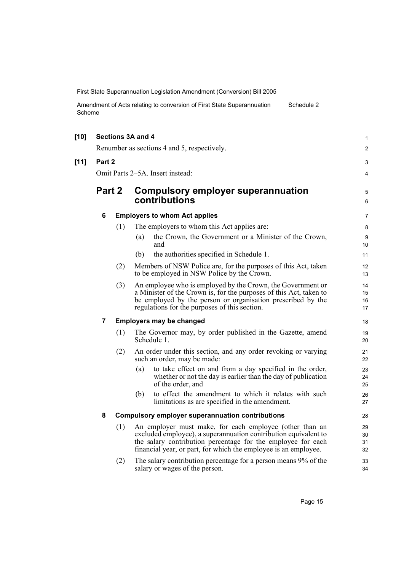Amendment of Acts relating to conversion of First State Superannuation Scheme Schedule 2

| $[10]$ |        |     | Sections 3A and 4                                                                                                                                                                                                                                             | $\mathbf{1}$         |
|--------|--------|-----|---------------------------------------------------------------------------------------------------------------------------------------------------------------------------------------------------------------------------------------------------------------|----------------------|
|        |        |     | Renumber as sections 4 and 5, respectively.                                                                                                                                                                                                                   | 2                    |
| $[11]$ | Part 2 |     |                                                                                                                                                                                                                                                               |                      |
|        |        |     | Omit Parts 2–5A. Insert instead:                                                                                                                                                                                                                              | 4                    |
|        | Part 2 |     | <b>Compulsory employer superannuation</b><br>contributions                                                                                                                                                                                                    | 5<br>6               |
|        | 6      |     | <b>Employers to whom Act applies</b>                                                                                                                                                                                                                          | $\overline{7}$       |
|        |        | (1) | The employers to whom this Act applies are:                                                                                                                                                                                                                   | 8                    |
|        |        |     | the Crown, the Government or a Minister of the Crown,<br>(a)<br>and                                                                                                                                                                                           | 9<br>10              |
|        |        |     | the authorities specified in Schedule 1.<br>(b)                                                                                                                                                                                                               | 11                   |
|        |        | (2) | Members of NSW Police are, for the purposes of this Act, taken<br>to be employed in NSW Police by the Crown.                                                                                                                                                  | 12<br>13             |
|        |        | (3) | An employee who is employed by the Crown, the Government or<br>a Minister of the Crown is, for the purposes of this Act, taken to<br>be employed by the person or organisation prescribed by the<br>regulations for the purposes of this section.             | 14<br>15<br>16<br>17 |
|        | 7      |     | <b>Employers may be changed</b>                                                                                                                                                                                                                               | 18                   |
|        |        | (1) | The Governor may, by order published in the Gazette, amend<br>Schedule 1.                                                                                                                                                                                     | 19<br>20             |
|        |        | (2) | An order under this section, and any order revoking or varying<br>such an order, may be made:                                                                                                                                                                 | 21<br>22             |
|        |        |     | to take effect on and from a day specified in the order,<br>(a)<br>whether or not the day is earlier than the day of publication<br>of the order, and                                                                                                         | 23<br>24<br>25       |
|        |        |     | to effect the amendment to which it relates with such<br>(b)<br>limitations as are specified in the amendment.                                                                                                                                                | 26<br>27             |
|        | 8      |     | <b>Compulsory employer superannuation contributions</b>                                                                                                                                                                                                       | 28                   |
|        |        | (1) | An employer must make, for each employee (other than an<br>excluded employee), a superannuation contribution equivalent to<br>the salary contribution percentage for the employee for each<br>financial year, or part, for which the employee is an employee. | 29<br>30<br>31<br>32 |
|        |        | (2) | The salary contribution percentage for a person means 9% of the<br>salary or wages of the person.                                                                                                                                                             | 33<br>34             |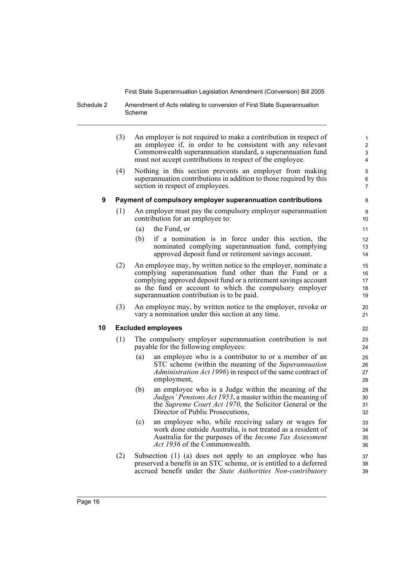Schedule 2 Amendment of Acts relating to conversion of First State Superannuation Scheme

(3) An employer is not required to make a contribution in respect of an employee if, in order to be consistent with any relevant Commonwealth superannuation standard, a superannuation fund must not accept contributions in respect of the employee. (4) Nothing in this section prevents an employer from making superannuation contributions in addition to those required by this section in respect of employees. **9 Payment of compulsory employer superannuation contributions** (1) An employer must pay the compulsory employer superannuation contribution for an employee to: (a) the Fund, or (b) if a nomination is in force under this section, the nominated complying superannuation fund, complying approved deposit fund or retirement savings account. (2) An employee may, by written notice to the employer, nominate a complying superannuation fund other than the Fund or a complying approved deposit fund or a retirement savings account as the fund or account to which the compulsory employer superannuation contribution is to be paid. (3) An employee may, by written notice to the employer, revoke or vary a nomination under this section at any time. **10 Excluded employees** (1) The compulsory employer superannuation contribution is not payable for the following employees: (a) an employee who is a contributor to or a member of an STC scheme (within the meaning of the *Superannuation Administration Act 1996*) in respect of the same contract of employment, (b) an employee who is a Judge within the meaning of the *Judges' Pensions Act 1953*, a master within the meaning of the *Supreme Court Act 1970*, the Solicitor General or the Director of Public Prosecutions, (c) an employee who, while receiving salary or wages for work done outside Australia, is not treated as a resident of Australia for the purposes of the *Income Tax Assessment Act 1936* of the Commonwealth. (2) Subsection (1) (a) does not apply to an employee who has preserved a benefit in an STC scheme, or is entitled to a deferred accrued benefit under the *State Authorities Non-contributory* 1  $\overline{2}$ 3 4 5 6 7 8 9 10 11 12 13 14 15 16 17 18 19 20 21 22 23  $24$ 25 26 27 28 29 30 31 32 33 34 35 36 37 38 39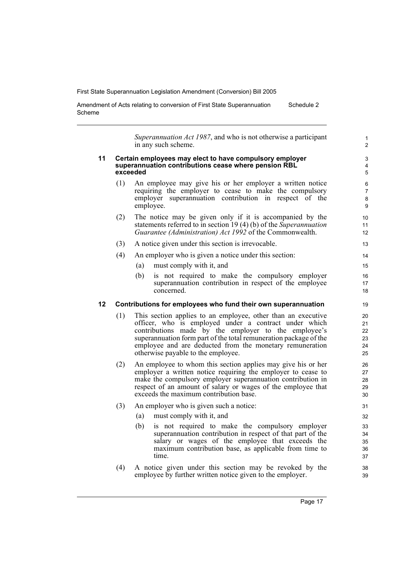Amendment of Acts relating to conversion of First State Superannuation Scheme Schedule 2

> *Superannuation Act 1987*, and who is not otherwise a participant in any such scheme.

#### **11 Certain employees may elect to have compulsory employer superannuation contributions cease where pension RBL exceeded**

- (1) An employee may give his or her employer a written notice requiring the employer to cease to make the compulsory employer superannuation contribution in respect of the employee.
- (2) The notice may be given only if it is accompanied by the statements referred to in section 19 (4) (b) of the *Superannuation Guarantee (Administration) Act 1992* of the Commonwealth.
- (3) A notice given under this section is irrevocable.
- (4) An employer who is given a notice under this section:
	- (a) must comply with it, and
	- (b) is not required to make the compulsory employer superannuation contribution in respect of the employee concerned.

#### **12 Contributions for employees who fund their own superannuation**

- (1) This section applies to an employee, other than an executive officer, who is employed under a contract under which contributions made by the employer to the employee's superannuation form part of the total remuneration package of the employee and are deducted from the monetary remuneration otherwise payable to the employee.
- (2) An employee to whom this section applies may give his or her employer a written notice requiring the employer to cease to make the compulsory employer superannuation contribution in respect of an amount of salary or wages of the employee that exceeds the maximum contribution base.
- (3) An employer who is given such a notice:
	- (a) must comply with it, and
	- (b) is not required to make the compulsory employer superannuation contribution in respect of that part of the salary or wages of the employee that exceeds the maximum contribution base, as applicable from time to time.
- (4) A notice given under this section may be revoked by the employee by further written notice given to the employer.

1  $\overline{2}$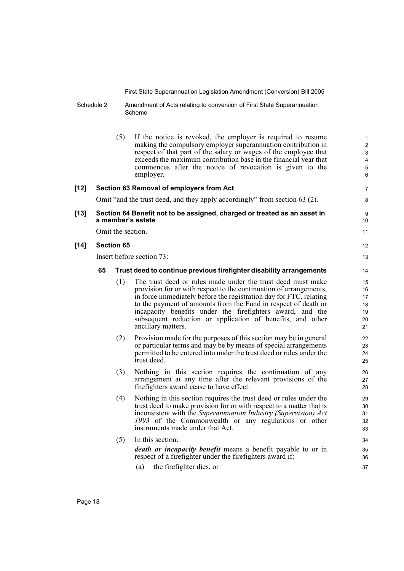Schedule 2 Amendment of Acts relating to conversion of First State Superannuation Scheme

|        |    | (5)               | If the notice is revoked, the employer is required to resume<br>making the compulsory employer superannuation contribution in<br>respect of that part of the salary or wages of the employee that<br>exceeds the maximum contribution base in the financial year that<br>commences after the notice of revocation is given to the<br>employer.                                                                             | 1<br>$\overline{2}$<br>$\mathsf 3$<br>$\overline{\mathbf{4}}$<br>$\mathbf 5$<br>6 |
|--------|----|-------------------|----------------------------------------------------------------------------------------------------------------------------------------------------------------------------------------------------------------------------------------------------------------------------------------------------------------------------------------------------------------------------------------------------------------------------|-----------------------------------------------------------------------------------|
| [12]   |    |                   | Section 63 Removal of employers from Act                                                                                                                                                                                                                                                                                                                                                                                   | $\overline{7}$                                                                    |
|        |    |                   | Omit "and the trust deed, and they apply accordingly" from section 63 (2).                                                                                                                                                                                                                                                                                                                                                 | 8                                                                                 |
| [13]   |    |                   | Section 64 Benefit not to be assigned, charged or treated as an asset in<br>a member's estate                                                                                                                                                                                                                                                                                                                              | 9<br>10                                                                           |
|        |    | Omit the section. |                                                                                                                                                                                                                                                                                                                                                                                                                            | 11                                                                                |
| $[14]$ |    | <b>Section 65</b> |                                                                                                                                                                                                                                                                                                                                                                                                                            | 12                                                                                |
|        |    |                   | Insert before section 73:                                                                                                                                                                                                                                                                                                                                                                                                  | 13                                                                                |
|        | 65 |                   | Trust deed to continue previous firefighter disability arrangements                                                                                                                                                                                                                                                                                                                                                        | 14                                                                                |
|        |    | (1)               | The trust deed or rules made under the trust deed must make<br>provision for or with respect to the continuation of arrangements,<br>in force immediately before the registration day for FTC, relating<br>to the payment of amounts from the Fund in respect of death or<br>incapacity benefits under the firefighters award, and the<br>subsequent reduction or application of benefits, and other<br>ancillary matters. | 15<br>16<br>17<br>18<br>19<br>20<br>21                                            |
|        |    | (2)               | Provision made for the purposes of this section may be in general<br>or particular terms and may be by means of special arrangements<br>permitted to be entered into under the trust deed or rules under the<br>trust deed.                                                                                                                                                                                                | 22<br>23<br>24<br>25                                                              |
|        |    | (3)               | Nothing in this section requires the continuation of any<br>arrangement at any time after the relevant provisions of the<br>firefighters award cease to have effect.                                                                                                                                                                                                                                                       | 26<br>27<br>28                                                                    |
|        |    | (4)               | Nothing in this section requires the trust deed or rules under the<br>trust deed to make provision for or with respect to a matter that is<br>inconsistent with the Superannuation Industry (Supervision) Act<br>1993 of the Commonwealth or any regulations or other<br>instruments made under that Act.                                                                                                                  | 29<br>30<br>31<br>32<br>33                                                        |
|        |    | (5)               | In this section:<br><i>death or incapacity benefit</i> means a benefit payable to or in<br>respect of a firefighter under the firefighters award if:<br>the firefighter dies, or<br>(a)                                                                                                                                                                                                                                    | 34<br>35<br>36<br>37                                                              |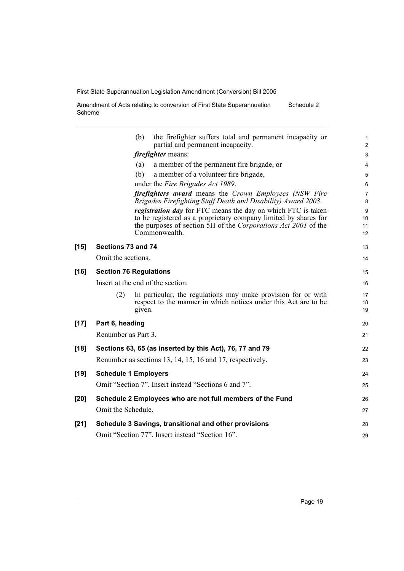Amendment of Acts relating to conversion of First State Superannuation Scheme Schedule 2

|        |                               | (b)    | the firefighter suffers total and permanent incapacity or<br>partial and permanent incapacity.                                    | $\mathbf{1}$<br>$\overline{2}$ |
|--------|-------------------------------|--------|-----------------------------------------------------------------------------------------------------------------------------------|--------------------------------|
|        |                               |        | <i>firefighter</i> means:                                                                                                         | 3                              |
|        |                               | (a)    | a member of the permanent fire brigade, or                                                                                        | 4                              |
|        |                               | (b)    | a member of a volunteer fire brigade,                                                                                             | 5                              |
|        |                               |        | under the Fire Brigades Act 1989.                                                                                                 | 6                              |
|        |                               |        | <b>firefighters award means the Crown Employees (NSW Fire</b><br>Brigades Firefighting Staff Death and Disability) Award 2003.    | $\overline{7}$<br>8            |
|        |                               |        | <i>registration day</i> for FTC means the day on which FTC is taken                                                               | 9                              |
|        |                               |        | to be registered as a proprietary company limited by shares for<br>the purposes of section 5H of the Corporations Act 2001 of the | 10<br>11                       |
|        |                               |        | Commonwealth.                                                                                                                     | 12                             |
| $[15]$ | Sections 73 and 74            |        |                                                                                                                                   | 13                             |
|        | Omit the sections.            |        |                                                                                                                                   | 14                             |
| $[16]$ | <b>Section 76 Regulations</b> |        |                                                                                                                                   | 15                             |
|        |                               |        | Insert at the end of the section:                                                                                                 | 16                             |
|        | (2)                           | given. | In particular, the regulations may make provision for or with<br>respect to the manner in which notices under this Act are to be  | 17<br>18<br>19                 |
| $[17]$ | Part 6, heading               |        |                                                                                                                                   | 20                             |
|        | Renumber as Part 3.           |        |                                                                                                                                   | 21                             |
| $[18]$ |                               |        | Sections 63, 65 (as inserted by this Act), 76, 77 and 79                                                                          | 22                             |
|        |                               |        | Renumber as sections 13, 14, 15, 16 and 17, respectively.                                                                         | 23                             |
| $[19]$ | <b>Schedule 1 Employers</b>   |        |                                                                                                                                   | 24                             |
|        |                               |        | Omit "Section 7". Insert instead "Sections 6 and 7".                                                                              | 25                             |
| [20]   |                               |        | Schedule 2 Employees who are not full members of the Fund                                                                         | 26                             |
|        | Omit the Schedule.            |        |                                                                                                                                   | 27                             |
| $[21]$ |                               |        | Schedule 3 Savings, transitional and other provisions                                                                             | 28                             |
|        |                               |        | Omit "Section 77". Insert instead "Section 16".                                                                                   | 29                             |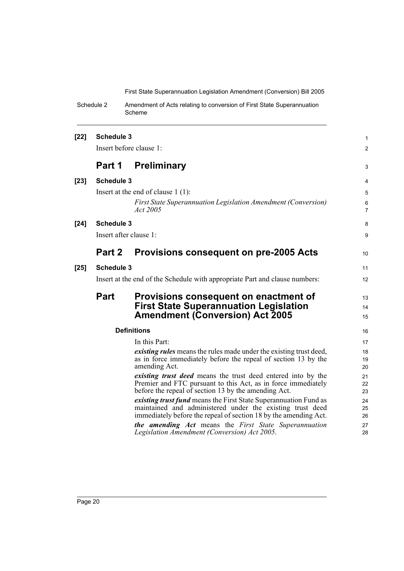Schedule 2 Amendment of Acts relating to conversion of First State Superannuation Scheme

| $[22]$ | <b>Schedule 3</b>                                                           | Insert before clause 1:                                                                                                              | $\mathbf{1}$<br>2   |  |  |
|--------|-----------------------------------------------------------------------------|--------------------------------------------------------------------------------------------------------------------------------------|---------------------|--|--|
|        |                                                                             | Part 1 Preliminary                                                                                                                   | 3                   |  |  |
| $[23]$ | <b>Schedule 3</b>                                                           |                                                                                                                                      | 4                   |  |  |
|        |                                                                             | Insert at the end of clause $1(1)$ :                                                                                                 | 5                   |  |  |
|        |                                                                             | <b>First State Superannuation Legislation Amendment (Conversion)</b><br><i>Act</i> 2005                                              | 6<br>$\overline{7}$ |  |  |
| $[24]$ | <b>Schedule 3</b>                                                           |                                                                                                                                      | 8                   |  |  |
|        | Insert after clause 1:                                                      |                                                                                                                                      | 9                   |  |  |
|        | Part 2                                                                      | <b>Provisions consequent on pre-2005 Acts</b>                                                                                        | 10                  |  |  |
| $[25]$ | <b>Schedule 3</b>                                                           |                                                                                                                                      | 11                  |  |  |
|        | Insert at the end of the Schedule with appropriate Part and clause numbers: |                                                                                                                                      |                     |  |  |
|        | <b>Part</b>                                                                 | Provisions consequent on enactment of                                                                                                | 13                  |  |  |
|        |                                                                             | <b>First State Superannuation Legislation</b>                                                                                        | 14                  |  |  |
|        |                                                                             | <b>Amendment (Conversion) Act 2005</b>                                                                                               | 15                  |  |  |
|        |                                                                             | <b>Definitions</b>                                                                                                                   | 16                  |  |  |
|        |                                                                             | In this Part:                                                                                                                        | 17                  |  |  |
|        |                                                                             | <i>existing rules</i> means the rules made under the existing trust deed,                                                            | 18                  |  |  |
|        |                                                                             | as in force immediately before the repeal of section 13 by the<br>amending Act.                                                      | 19<br>20            |  |  |
|        |                                                                             | existing trust deed means the trust deed entered into by the                                                                         | 21                  |  |  |
|        |                                                                             | Premier and FTC pursuant to this Act, as in force immediately                                                                        | 22                  |  |  |
|        |                                                                             | before the repeal of section 13 by the amending Act.                                                                                 | 23                  |  |  |
|        |                                                                             | <i>existing trust fund</i> means the First State Superannuation Fund as<br>maintained and administered under the existing trust deed | 24<br>25            |  |  |
|        |                                                                             | immediately before the repeal of section 18 by the amending Act.                                                                     | 26                  |  |  |
|        |                                                                             | <b>the amending Act</b> means the First State Superannuation<br>Legislation Amendment (Conversion) Act 2005.                         | 27<br>28            |  |  |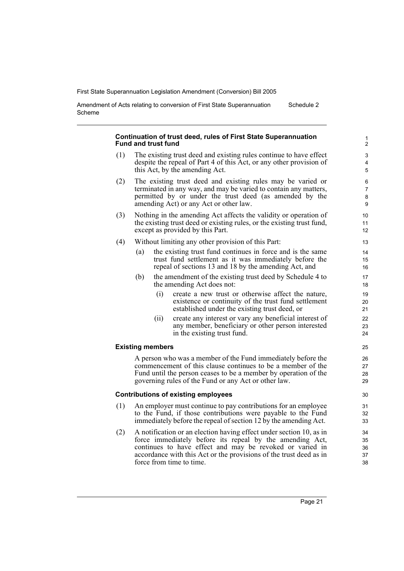Amendment of Acts relating to conversion of First State Superannuation Scheme Schedule 2

#### **Continuation of trust deed, rules of First State Superannuation Fund and trust fund**

- (1) The existing trust deed and existing rules continue to have effect despite the repeal of Part 4 of this Act, or any other provision of this Act, by the amending Act.
- (2) The existing trust deed and existing rules may be varied or terminated in any way, and may be varied to contain any matters, permitted by or under the trust deed (as amended by the amending Act) or any Act or other law.
- (3) Nothing in the amending Act affects the validity or operation of the existing trust deed or existing rules, or the existing trust fund, except as provided by this Part.
- (4) Without limiting any other provision of this Part:
	- (a) the existing trust fund continues in force and is the same trust fund settlement as it was immediately before the repeal of sections 13 and 18 by the amending Act, and
	- (b) the amendment of the existing trust deed by Schedule 4 to the amending Act does not:
		- (i) create a new trust or otherwise affect the nature, existence or continuity of the trust fund settlement established under the existing trust deed, or
		- (ii) create any interest or vary any beneficial interest of any member, beneficiary or other person interested in the existing trust fund.

#### **Existing members**

A person who was a member of the Fund immediately before the commencement of this clause continues to be a member of the Fund until the person ceases to be a member by operation of the governing rules of the Fund or any Act or other law.

#### **Contributions of existing employees**

- (1) An employer must continue to pay contributions for an employee to the Fund, if those contributions were payable to the Fund immediately before the repeal of section 12 by the amending Act.
- (2) A notification or an election having effect under section 10, as in force immediately before its repeal by the amending Act, continues to have effect and may be revoked or varied in accordance with this Act or the provisions of the trust deed as in force from time to time.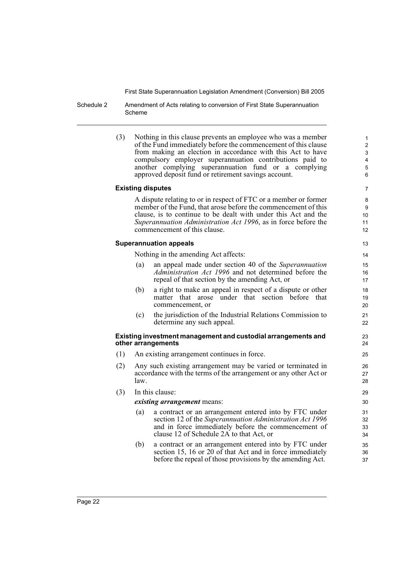Schedule 2 Amendment of Acts relating to conversion of First State Superannuation Scheme

> (3) Nothing in this clause prevents an employee who was a member of the Fund immediately before the commencement of this clause from making an election in accordance with this Act to have compulsory employer superannuation contributions paid to another complying superannuation fund or a complying approved deposit fund or retirement savings account.

#### **Existing disputes**

A dispute relating to or in respect of FTC or a member or former member of the Fund, that arose before the commencement of this clause, is to continue to be dealt with under this Act and the *Superannuation Administration Act 1996*, as in force before the commencement of this clause.

#### **Superannuation appeals**

Nothing in the amending Act affects:

- (a) an appeal made under section 40 of the *Superannuation Administration Act 1996* and not determined before the repeal of that section by the amending Act, or
- (b) a right to make an appeal in respect of a dispute or other matter that arose under that section before that commencement, or
- (c) the jurisdiction of the Industrial Relations Commission to determine any such appeal.

#### **Existing investment management and custodial arrangements and other arrangements**

- (1) An existing arrangement continues in force.
- (2) Any such existing arrangement may be varied or terminated in accordance with the terms of the arrangement or any other Act or law.
- (3) In this clause:

*existing arrangement* means:

- (a) a contract or an arrangement entered into by FTC under section 12 of the *Superannuation Administration Act 1996* and in force immediately before the commencement of clause 12 of Schedule 2A to that Act, or
- (b) a contract or an arrangement entered into by FTC under section 15, 16 or 20 of that Act and in force immediately before the repeal of those provisions by the amending Act.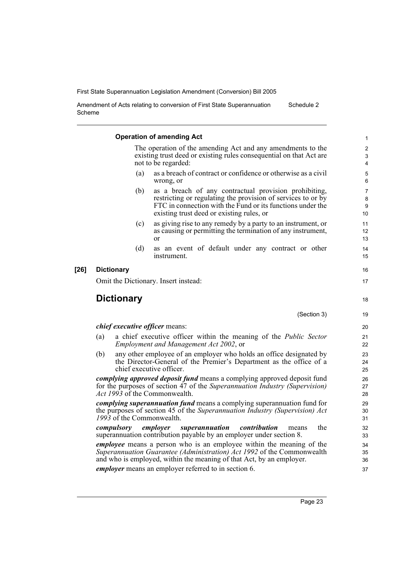Amendment of Acts relating to conversion of First State Superannuation Scheme Schedule 2

#### **Operation of amending Act**

The operation of the amending Act and any amendments to the existing trust deed or existing rules consequential on that Act are not to be regarded:

- (a) as a breach of contract or confidence or otherwise as a civil wrong, or
- (b) as a breach of any contractual provision prohibiting, restricting or regulating the provision of services to or by FTC in connection with the Fund or its functions under the existing trust deed or existing rules, or
- (c) as giving rise to any remedy by a party to an instrument, or as causing or permitting the termination of any instrument, or
- (d) as an event of default under any contract or other instrument.

#### **[26] Dictionary**

Omit the Dictionary. Insert instead:

#### **Dictionary**

(Section 3)

16 17

18

*chief executive officer* means:

- (a) a chief executive officer within the meaning of the *Public Sector Employment and Management Act 2002*, or
- (b) any other employee of an employer who holds an office designated by the Director-General of the Premier's Department as the office of a chief executive officer.

*complying approved deposit fund* means a complying approved deposit fund for the purposes of section 47 of the *Superannuation Industry (Supervision) Act 1993* of the Commonwealth.

*complying superannuation fund* means a complying superannuation fund for the purposes of section 45 of the *Superannuation Industry (Supervision) Act 1993* of the Commonwealth.

*compulsory employer superannuation contribution* means the superannuation contribution payable by an employer under section 8.

*employee* means a person who is an employee within the meaning of the *Superannuation Guarantee (Administration) Act 1992* of the Commonwealth and who is employed, within the meaning of that Act, by an employer.

*employer* means an employer referred to in section 6.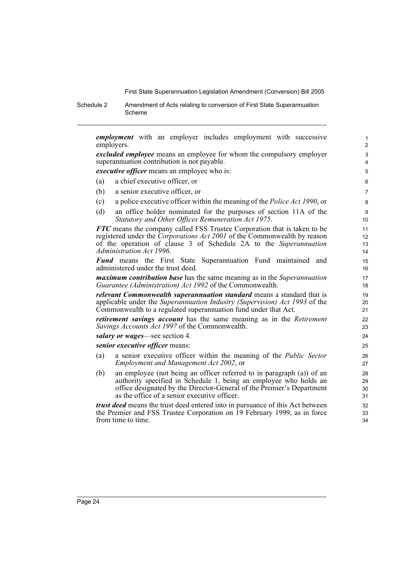Schedule 2 Amendment of Acts relating to conversion of First State Superannuation Scheme

*employment* with an employer includes employment with successive employers.

*excluded employee* means an employee for whom the compulsory employer superannuation contribution is not payable.

*executive officer* means an employee who is:

- (a) a chief executive officer, or
- (b) a senior executive officer, or
- (c) a police executive officer within the meaning of the *Police Act 1990*, or
- (d) an office holder nominated for the purposes of section 11A of the *Statutory and Other Offices Remuneration Act 1975*.

*FTC* means the company called FSS Trustee Corporation that is taken to be registered under the *Corporations Act 2001* of the Commonwealth by reason of the operation of clause 3 of Schedule 2A to the *Superannuation Administration Act 1996*.

*Fund* means the First State Superannuation Fund maintained and administered under the trust deed.

*maximum contribution base* has the same meaning as in the *Superannuation Guarantee (Administration) Act 1992* of the Commonwealth.

*relevant Commonwealth superannuation standard* means a standard that is applicable under the *Superannuation Industry (Supervision) Act 1993* of the Commonwealth to a regulated superannuation fund under that Act.

*retirement savings account* has the same meaning as in the *Retirement Savings Accounts Act 1997* of the Commonwealth.

#### *salary or wages*—see section 4.

*senior executive officer* means:

- (a) a senior executive officer within the meaning of the *Public Sector Employment and Management Act 2002*, or
- (b) an employee (not being an officer referred to in paragraph (a)) of an authority specified in Schedule 1, being an employee who holds an office designated by the Director-General of the Premier's Department as the office of a senior executive officer.

*trust deed* means the trust deed entered into in pursuance of this Act between the Premier and FSS Trustee Corporation on 19 February 1999, as in force from time to time.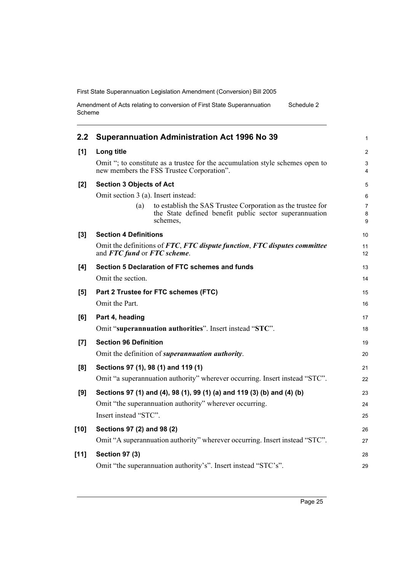Amendment of Acts relating to conversion of First State Superannuation Scheme Schedule 2

| $2.2\phantom{0}$ | <b>Superannuation Administration Act 1996 No 39</b>                                                                                      | 1                        |
|------------------|------------------------------------------------------------------------------------------------------------------------------------------|--------------------------|
| [1]              | Long title                                                                                                                               | $\overline{2}$           |
|                  | Omit "; to constitute as a trustee for the accumulation style schemes open to<br>new members the FSS Trustee Corporation".               | 3<br>4                   |
| [2]              | <b>Section 3 Objects of Act</b>                                                                                                          | 5                        |
|                  | Omit section 3 (a). Insert instead:                                                                                                      | 6                        |
|                  | to establish the SAS Trustee Corporation as the trustee for<br>(a)<br>the State defined benefit public sector superannuation<br>schemes, | $\overline{7}$<br>8<br>9 |
| [3]              | <b>Section 4 Definitions</b>                                                                                                             | 10                       |
|                  | Omit the definitions of FTC, FTC dispute function, FTC disputes committee<br>and FTC fund or FTC scheme.                                 | 11<br>12                 |
| [4]              | Section 5 Declaration of FTC schemes and funds                                                                                           | 13                       |
|                  | Omit the section.                                                                                                                        | 14                       |
| [5]              | Part 2 Trustee for FTC schemes (FTC)                                                                                                     | 15                       |
|                  | Omit the Part.                                                                                                                           | 16                       |
| [6]              | Part 4, heading                                                                                                                          | 17                       |
|                  | Omit "superannuation authorities". Insert instead "STC".                                                                                 | 18                       |
| [7]              | <b>Section 96 Definition</b>                                                                                                             | 19                       |
|                  | Omit the definition of <i>superannuation authority</i> .                                                                                 | 20                       |
| [8]              | Sections 97 (1), 98 (1) and 119 (1)                                                                                                      | 21                       |
|                  | Omit "a superannuation authority" wherever occurring. Insert instead "STC".                                                              | 22                       |
| [9]              | Sections 97 (1) and (4), 98 (1), 99 (1) (a) and 119 (3) (b) and (4) (b)                                                                  | 23                       |
|                  | Omit "the superannuation authority" wherever occurring.                                                                                  | 24                       |
|                  | Insert instead "STC".                                                                                                                    | 25                       |
| $[10]$           | Sections 97 (2) and 98 (2)                                                                                                               | 26                       |
|                  | Omit "A superannuation authority" wherever occurring. Insert instead "STC".                                                              | 27                       |
| $[11]$           | <b>Section 97 (3)</b>                                                                                                                    | 28                       |
|                  | Omit "the superannuation authority's". Insert instead "STC's".                                                                           | 29                       |
|                  |                                                                                                                                          |                          |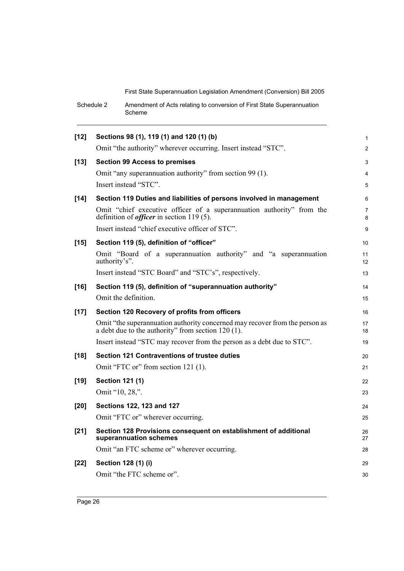Schedule 2 Amendment of Acts relating to conversion of First State Superannuation Scheme

| $[12]$ | Sections 98 (1), 119 (1) and 120 (1) (b)                                                                                          | $\mathbf{1}$        |
|--------|-----------------------------------------------------------------------------------------------------------------------------------|---------------------|
|        | Omit "the authority" wherever occurring. Insert instead "STC".                                                                    | $\overline{2}$      |
|        |                                                                                                                                   |                     |
| $[13]$ | <b>Section 99 Access to premises</b>                                                                                              | 3                   |
|        | Omit "any superannuation authority" from section 99 (1).                                                                          | 4                   |
|        | Insert instead "STC".                                                                                                             | 5                   |
| $[14]$ | Section 119 Duties and liabilities of persons involved in management                                                              | 6                   |
|        | Omit "chief executive officer of a superannuation authority" from the<br>definition of <i>officer</i> in section 119 (5).         | $\overline{7}$<br>8 |
|        | Insert instead "chief executive officer of STC".                                                                                  | 9                   |
| $[15]$ | Section 119 (5), definition of "officer"                                                                                          | 10                  |
|        | Omit "Board of a superannuation authority" and "a superannuation<br>authority's".                                                 | 11<br>12            |
|        | Insert instead "STC Board" and "STC's", respectively.                                                                             | 13                  |
| $[16]$ | Section 119 (5), definition of "superannuation authority"                                                                         | 14                  |
|        | Omit the definition.                                                                                                              | 15                  |
|        |                                                                                                                                   |                     |
| $[17]$ | Section 120 Recovery of profits from officers                                                                                     | 16                  |
|        | Omit "the superannuation authority concerned may recover from the person as<br>a debt due to the authority" from section 120 (1). | 17<br>18            |
|        | Insert instead "STC may recover from the person as a debt due to STC".                                                            | 19                  |
| $[18]$ | Section 121 Contraventions of trustee duties                                                                                      | 20                  |
|        | Omit "FTC or" from section 121 (1).                                                                                               | 21                  |
| $[19]$ | <b>Section 121 (1)</b>                                                                                                            | 22                  |
|        | Omit "10, 28,".                                                                                                                   | 23                  |
| $[20]$ | Sections 122, 123 and 127                                                                                                         | 24                  |
|        | Omit "FTC or" wherever occurring.                                                                                                 | 25                  |
| $[21]$ | Section 128 Provisions consequent on establishment of additional<br>superannuation schemes                                        | 26<br>27            |
|        | Omit "an FTC scheme or" wherever occurring.                                                                                       | 28                  |
| $[22]$ | Section 128 (1) (i)                                                                                                               | 29                  |
|        | Omit "the FTC scheme or".                                                                                                         | 30                  |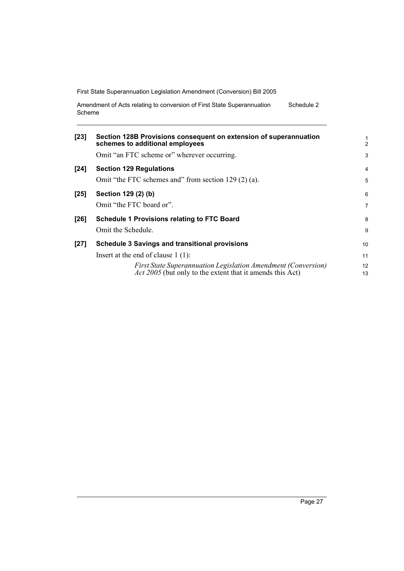Amendment of Acts relating to conversion of First State Superannuation Scheme Schedule 2

| $[23]$ | Section 128B Provisions consequent on extension of superannuation<br>schemes to additional employees                                     | 1<br>$\overline{2}$ |
|--------|------------------------------------------------------------------------------------------------------------------------------------------|---------------------|
|        | Omit "an FTC scheme or" wherever occurring.                                                                                              | 3                   |
| $[24]$ | <b>Section 129 Regulations</b>                                                                                                           | $\overline{4}$      |
|        | Omit "the FTC schemes and" from section $129(2)(a)$ .                                                                                    | 5                   |
| $[25]$ | Section 129 (2) (b)                                                                                                                      | 6                   |
|        | Omit "the FTC board or".                                                                                                                 | $\overline{7}$      |
| $[26]$ | <b>Schedule 1 Provisions relating to FTC Board</b>                                                                                       | 8                   |
|        | Omit the Schedule.                                                                                                                       | 9                   |
| $[27]$ | <b>Schedule 3 Savings and transitional provisions</b>                                                                                    | 10                  |
|        | Insert at the end of clause $1(1)$ :                                                                                                     | 11                  |
|        | <b>First State Superannuation Legislation Amendment (Conversion)</b><br><i>Act 2005</i> (but only to the extent that it amends this Act) | 12<br>13            |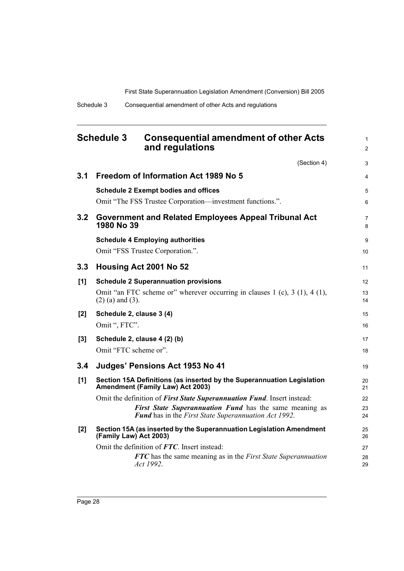<span id="page-41-0"></span>

|     | <b>Schedule 3</b><br><b>Consequential amendment of other Acts</b><br>and regulations                                          | $\mathbf{1}$<br>2   |
|-----|-------------------------------------------------------------------------------------------------------------------------------|---------------------|
|     | (Section 4)                                                                                                                   | 3                   |
| 3.1 | Freedom of Information Act 1989 No 5                                                                                          | $\overline{4}$      |
|     | <b>Schedule 2 Exempt bodies and offices</b>                                                                                   | 5                   |
|     | Omit "The FSS Trustee Corporation—investment functions.".                                                                     | 6                   |
| 3.2 | Government and Related Employees Appeal Tribunal Act<br>1980 No 39                                                            | $\overline{7}$<br>8 |
|     | <b>Schedule 4 Employing authorities</b>                                                                                       | 9                   |
|     | Omit "FSS Trustee Corporation.".                                                                                              | 10                  |
| 3.3 | Housing Act 2001 No 52                                                                                                        | 11                  |
| [1] | <b>Schedule 2 Superannuation provisions</b>                                                                                   | 12                  |
|     | Omit "an FTC scheme or" wherever occurring in clauses $1$ (c), $3$ (1), $4$ (1),<br>$(2)$ (a) and (3).                        | 13<br>14            |
| [2] | Schedule 2, clause 3 (4)                                                                                                      | 15                  |
|     | Omit", FTC".                                                                                                                  | 16                  |
| [3] | Schedule 2, clause 4 (2) (b)                                                                                                  | 17                  |
|     | Omit "FTC scheme or".                                                                                                         | 18                  |
| 3.4 | Judges' Pensions Act 1953 No 41                                                                                               | 19                  |
| [1] | Section 15A Definitions (as inserted by the Superannuation Legislation<br>Amendment (Family Law) Act 2003)                    | 20<br>21            |
|     | Omit the definition of <i>First State Superannuation Fund</i> . Insert instead:                                               | 22                  |
|     | <b>First State Superannuation Fund has the same meaning as</b><br><b>Fund</b> has in the First State Superannuation Act 1992. | 23<br>24            |
| [2] | Section 15A (as inserted by the Superannuation Legislation Amendment<br>(Family Law) Act 2003)                                | 25<br>26            |
|     | Omit the definition of FTC. Insert instead:                                                                                   | 27                  |
|     | <b>FTC</b> has the same meaning as in the First State Superannuation<br>Act 1992.                                             | 28<br>29            |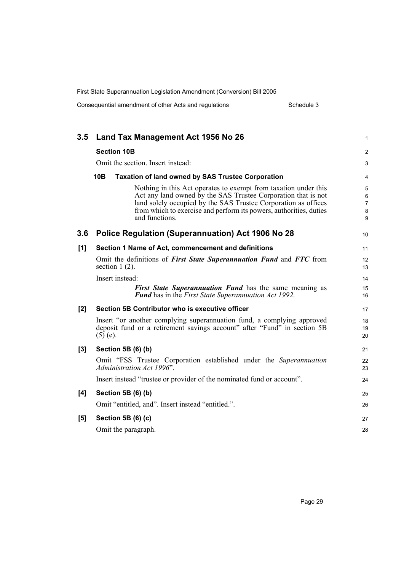Consequential amendment of other Acts and regulations Schedule 3

| 3.5   | Land Tax Management Act 1956 No 26                                                                                                                                                                                                                                                         | 1                                  |
|-------|--------------------------------------------------------------------------------------------------------------------------------------------------------------------------------------------------------------------------------------------------------------------------------------------|------------------------------------|
|       | <b>Section 10B</b>                                                                                                                                                                                                                                                                         | 2                                  |
|       | Omit the section. Insert instead:                                                                                                                                                                                                                                                          | 3                                  |
|       | 10B<br><b>Taxation of land owned by SAS Trustee Corporation</b>                                                                                                                                                                                                                            | 4                                  |
|       | Nothing in this Act operates to exempt from taxation under this<br>Act any land owned by the SAS Trustee Corporation that is not<br>land solely occupied by the SAS Trustee Corporation as offices<br>from which to exercise and perform its powers, authorities, duties<br>and functions. | 5<br>6<br>$\overline{7}$<br>8<br>9 |
| 3.6   | Police Regulation (Superannuation) Act 1906 No 28                                                                                                                                                                                                                                          | 10                                 |
| [1]   | Section 1 Name of Act, commencement and definitions                                                                                                                                                                                                                                        | 11                                 |
|       | Omit the definitions of First State Superannuation Fund and FTC from<br>section $1(2)$ .                                                                                                                                                                                                   | 12<br>13                           |
|       | Insert instead:                                                                                                                                                                                                                                                                            | 14                                 |
|       | <b>First State Superannuation Fund</b> has the same meaning as<br><b>Fund</b> has in the First State Superannuation Act 1992.                                                                                                                                                              | 15<br>16                           |
| $[2]$ | Section 5B Contributor who is executive officer                                                                                                                                                                                                                                            | 17                                 |
|       | Insert "or another complying superannuation fund, a complying approved<br>deposit fund or a retirement savings account" after "Fund" in section 5B<br>$(5)$ (e).                                                                                                                           | 18<br>19<br>20                     |
| $[3]$ | Section 5B (6) (b)                                                                                                                                                                                                                                                                         | 21                                 |
|       | Omit "FSS Trustee Corporation established under the Superannuation<br>Administration Act 1996".                                                                                                                                                                                            | 22<br>23                           |
|       | Insert instead "trustee or provider of the nominated fund or account".                                                                                                                                                                                                                     | 24                                 |
| [4]   | Section 5B (6) (b)                                                                                                                                                                                                                                                                         | 25                                 |
|       | Omit "entitled, and". Insert instead "entitled.".                                                                                                                                                                                                                                          | 26                                 |
| [5]   | <b>Section 5B (6) (c)</b>                                                                                                                                                                                                                                                                  | 27                                 |
|       | Omit the paragraph.                                                                                                                                                                                                                                                                        | 28                                 |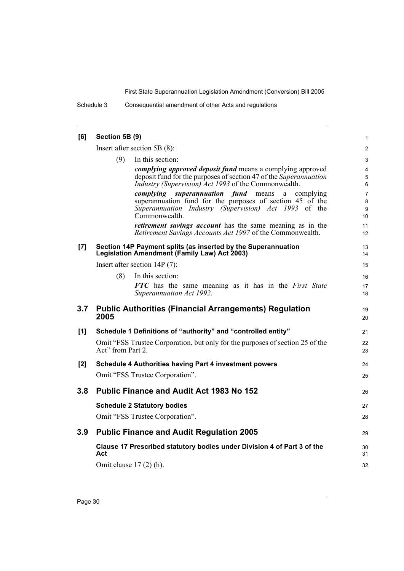Schedule 3 Consequential amendment of other Acts and regulations

| [6]                | Section 5B (9)                                                                                                                | $\mathbf{1}$          |
|--------------------|-------------------------------------------------------------------------------------------------------------------------------|-----------------------|
|                    | Insert after section 5B (8):                                                                                                  | 2                     |
|                    | (9)<br>In this section:                                                                                                       | 3                     |
|                    | <i>complying approved deposit fund</i> means a complying approved                                                             | 4                     |
|                    | deposit fund for the purposes of section 47 of the Superannuation<br>Industry (Supervision) Act 1993 of the Commonwealth.     | 5<br>6                |
|                    | complying<br>superannuation fund means<br>a<br>complying                                                                      | $\overline{7}$        |
|                    | superannuation fund for the purposes of section 45 of the                                                                     | 8                     |
|                    | Superannuation Industry (Supervision) Act 1993 of the<br>Commonwealth.                                                        | 9<br>10               |
|                    | <i>retirement savings account</i> has the same meaning as in the<br>Retirement Savings Accounts Act 1997 of the Commonwealth. | 11<br>12 <sup>2</sup> |
| $\left[ 7 \right]$ | Section 14P Payment splits (as inserted by the Superannuation<br>Legislation Amendment (Family Law) Act 2003)                 | 13<br>14              |
|                    | Insert after section $14P(7)$ :                                                                                               | 15                    |
|                    | (8)<br>In this section:                                                                                                       | 16                    |
|                    | <b>FTC</b> has the same meaning as it has in the First State                                                                  | 17                    |
|                    | Superannuation Act 1992.                                                                                                      | 18                    |
|                    |                                                                                                                               |                       |
| 3.7                | <b>Public Authorities (Financial Arrangements) Regulation</b><br>2005                                                         | 19<br>20              |
| [1]                | Schedule 1 Definitions of "authority" and "controlled entity"                                                                 | 21                    |
|                    | Omit "FSS Trustee Corporation, but only for the purposes of section 25 of the<br>Act" from Part 2.                            | 22<br>23              |
| [2]                | <b>Schedule 4 Authorities having Part 4 investment powers</b>                                                                 | 24                    |
|                    | Omit "FSS Trustee Corporation".                                                                                               | 25                    |
| 3.8                | <b>Public Finance and Audit Act 1983 No 152</b>                                                                               | 26                    |
|                    | <b>Schedule 2 Statutory bodies</b>                                                                                            | 27                    |
|                    | Omit "FSS Trustee Corporation".                                                                                               | 28                    |
| 3.9                | <b>Public Finance and Audit Regulation 2005</b>                                                                               | 29                    |
|                    | Clause 17 Prescribed statutory bodies under Division 4 of Part 3 of the<br>Act                                                | 30<br>31              |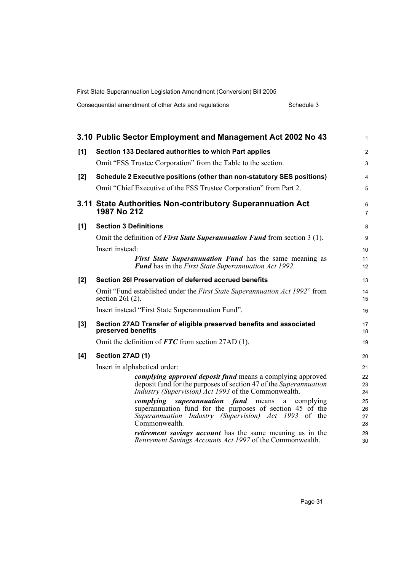| Consequential amendment of other Acts and regulations |
|-------------------------------------------------------|
|-------------------------------------------------------|

Schedule 3

|       | 3.10 Public Sector Employment and Management Act 2002 No 43                                                                                                                                           | $\mathbf{1}$         |
|-------|-------------------------------------------------------------------------------------------------------------------------------------------------------------------------------------------------------|----------------------|
| [1]   | Section 133 Declared authorities to which Part applies                                                                                                                                                | $\overline{2}$       |
|       | Omit "FSS Trustee Corporation" from the Table to the section.                                                                                                                                         | $\mathbf{3}$         |
| [2]   | Schedule 2 Executive positions (other than non-statutory SES positions)                                                                                                                               | $\overline{4}$       |
|       | Omit "Chief Executive of the FSS Trustee Corporation" from Part 2.                                                                                                                                    | 5                    |
|       | 3.11 State Authorities Non-contributory Superannuation Act<br>1987 No 212                                                                                                                             | 6<br>$\overline{7}$  |
| [1]   | <b>Section 3 Definitions</b>                                                                                                                                                                          | 8                    |
|       | Omit the definition of <i>First State Superannuation Fund</i> from section 3 (1).                                                                                                                     | 9                    |
|       | Insert instead:                                                                                                                                                                                       | 10                   |
|       | First State Superannuation Fund has the same meaning as<br>Fund has in the First State Superannuation Act 1992.                                                                                       | 11<br>12             |
| [2]   | Section 26I Preservation of deferred accrued benefits                                                                                                                                                 | 13                   |
|       | Omit "Fund established under the First State Superannuation Act 1992" from<br>section $26I(2)$ .                                                                                                      | 14<br>15             |
|       | Insert instead "First State Superannuation Fund".                                                                                                                                                     | 16                   |
| $[3]$ | Section 27AD Transfer of eligible preserved benefits and associated<br>preserved benefits                                                                                                             | 17<br>18             |
|       | Omit the definition of FTC from section 27AD (1).                                                                                                                                                     | 19                   |
| [4]   | Section 27AD (1)                                                                                                                                                                                      | 20                   |
|       | Insert in alphabetical order:                                                                                                                                                                         | 21                   |
|       | <i>complying approved deposit fund</i> means a complying approved<br>deposit fund for the purposes of section 47 of the Superannuation<br><i>Industry (Supervision) Act 1993</i> of the Commonwealth. | 22<br>23<br>24       |
|       | complying superannuation fund<br>means<br>a complying<br>superannuation fund for the purposes of section 45 of the<br>Superannuation Industry (Supervision) Act 1993 of the<br>Commonwealth.          | 25<br>26<br>27<br>28 |
|       | <i>retirement savings account</i> has the same meaning as in the<br>Retirement Savings Accounts Act 1997 of the Commonwealth.                                                                         | 29<br>30             |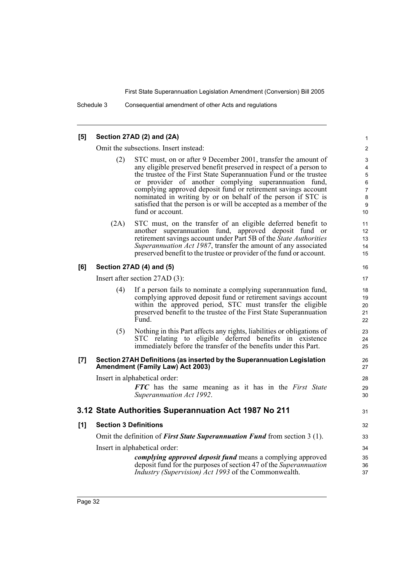1

## **[5] Section 27AD (2) and (2A)**

Omit the subsections. Insert instead:

|                    |                              | Omit the subsections. Insert instead:                                                                                                                                                                                                                                                                                                                                                                                                                                                         | $\sqrt{2}$                                                               |
|--------------------|------------------------------|-----------------------------------------------------------------------------------------------------------------------------------------------------------------------------------------------------------------------------------------------------------------------------------------------------------------------------------------------------------------------------------------------------------------------------------------------------------------------------------------------|--------------------------------------------------------------------------|
|                    | (2)                          | STC must, on or after 9 December 2001, transfer the amount of<br>any eligible preserved benefit preserved in respect of a person to<br>the trustee of the First State Superannuation Fund or the trustee<br>or provider of another complying superannuation fund,<br>complying approved deposit fund or retirement savings account<br>nominated in writing by or on behalf of the person if STC is<br>satisfied that the person is or will be accepted as a member of the<br>fund or account. | 3<br>4<br>$\mathbf 5$<br>$\,6\,$<br>$\overline{7}$<br>$\bf 8$<br>9<br>10 |
|                    | (2A)                         | STC must, on the transfer of an eligible deferred benefit to<br>another superannuation fund, approved deposit fund or<br>retirement savings account under Part 5B of the State Authorities<br>Superannuation Act 1987, transfer the amount of any associated<br>preserved benefit to the trustee or provider of the fund or account.                                                                                                                                                          | 11<br>12<br>13<br>14<br>15                                               |
| [6]                |                              | Section 27AD (4) and (5)                                                                                                                                                                                                                                                                                                                                                                                                                                                                      | 16                                                                       |
|                    |                              | Insert after section 27AD (3):                                                                                                                                                                                                                                                                                                                                                                                                                                                                | 17                                                                       |
|                    | (4)                          | If a person fails to nominate a complying superannuation fund,<br>complying approved deposit fund or retirement savings account<br>within the approved period, STC must transfer the eligible<br>preserved benefit to the trustee of the First State Superannuation<br>Fund.                                                                                                                                                                                                                  | 18<br>19<br>20<br>21<br>22                                               |
|                    | (5)                          | Nothing in this Part affects any rights, liabilities or obligations of<br>STC relating to eligible deferred benefits in existence<br>immediately before the transfer of the benefits under this Part.                                                                                                                                                                                                                                                                                         | 23<br>24<br>25                                                           |
| $\left[ 7 \right]$ |                              | Section 27AH Definitions (as inserted by the Superannuation Legislation<br>Amendment (Family Law) Act 2003)                                                                                                                                                                                                                                                                                                                                                                                   | 26<br>27                                                                 |
|                    |                              | Insert in alphabetical order:<br><b>FTC</b> has the same meaning as it has in the First State<br>Superannuation Act 1992.                                                                                                                                                                                                                                                                                                                                                                     | 28<br>29<br>30                                                           |
|                    |                              | 3.12 State Authorities Superannuation Act 1987 No 211                                                                                                                                                                                                                                                                                                                                                                                                                                         | 31                                                                       |
| [1]                | <b>Section 3 Definitions</b> |                                                                                                                                                                                                                                                                                                                                                                                                                                                                                               | 32                                                                       |
|                    |                              | Omit the definition of <i>First State Superannuation Fund</i> from section 3 (1).                                                                                                                                                                                                                                                                                                                                                                                                             | 33                                                                       |
|                    |                              | Insert in alphabetical order:                                                                                                                                                                                                                                                                                                                                                                                                                                                                 | 34                                                                       |
|                    |                              | <i>complying approved deposit fund</i> means a complying approved<br>deposit fund for the purposes of section 47 of the Superannuation<br>Industry (Supervision) Act 1993 of the Commonwealth.                                                                                                                                                                                                                                                                                                | 35<br>36<br>37                                                           |
|                    |                              |                                                                                                                                                                                                                                                                                                                                                                                                                                                                                               |                                                                          |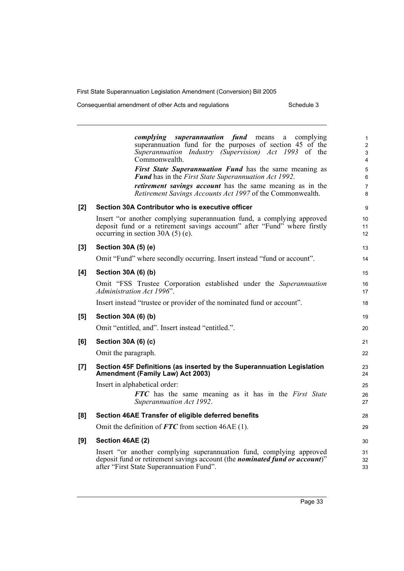Consequential amendment of other Acts and regulations Schedule 3

|     | <i>complying superannuation fund</i> means<br>a<br>complying<br>superannuation fund for the purposes of section 45 of the<br>Superannuation Industry (Supervision) Act 1993 of the<br>Commonwealth.     | $\mathbf{1}$<br>$\overline{2}$<br>3<br>4 |
|-----|---------------------------------------------------------------------------------------------------------------------------------------------------------------------------------------------------------|------------------------------------------|
|     | <b>First State Superannuation Fund has the same meaning as</b><br><b>Fund</b> has in the First State Superannuation Act 1992.                                                                           | 5<br>6                                   |
|     | <i>retirement savings account</i> has the same meaning as in the<br>Retirement Savings Accounts Act 1997 of the Commonwealth.                                                                           | $\overline{7}$<br>8                      |
| [2] | Section 30A Contributor who is executive officer                                                                                                                                                        | 9                                        |
|     | Insert "or another complying superannuation fund, a complying approved<br>deposit fund or a retirement savings account" after "Fund" where firstly<br>occurring in section $30A(5)$ (e).                | 10 <sup>°</sup><br>11<br>12 <sup>2</sup> |
| [3] | Section 30A (5) (e)                                                                                                                                                                                     | 13                                       |
|     | Omit "Fund" where secondly occurring. Insert instead "fund or account".                                                                                                                                 | 14                                       |
| [4] | <b>Section 30A (6) (b)</b>                                                                                                                                                                              | 15                                       |
|     | Omit "FSS Trustee Corporation established under the Superannuation<br>Administration Act 1996".                                                                                                         | 16<br>17                                 |
|     | Insert instead "trustee or provider of the nominated fund or account".                                                                                                                                  | 18                                       |
| [5] | Section 30A (6) (b)                                                                                                                                                                                     | 19                                       |
|     | Omit "entitled, and". Insert instead "entitled.".                                                                                                                                                       | 20                                       |
| [6] | Section 30A (6) (c)                                                                                                                                                                                     | 21                                       |
|     | Omit the paragraph.                                                                                                                                                                                     | 22                                       |
| [7] | Section 45F Definitions (as inserted by the Superannuation Legislation<br>Amendment (Family Law) Act 2003)                                                                                              | 23<br>24                                 |
|     | Insert in alphabetical order:                                                                                                                                                                           | 25                                       |
|     | FTC has the same meaning as it has in the First State<br>Superannuation Act 1992.                                                                                                                       | 26<br>27                                 |
| [8] | Section 46AE Transfer of eligible deferred benefits                                                                                                                                                     | 28                                       |
|     | Omit the definition of $FTC$ from section 46AE (1).                                                                                                                                                     | 29                                       |
| [9] | Section 46AE (2)                                                                                                                                                                                        | 30                                       |
|     | Insert "or another complying superannuation fund, complying approved<br>deposit fund or retirement savings account (the <i>nominated fund or account</i> )"<br>after "First State Superannuation Fund". | 31<br>32<br>33                           |

Page 33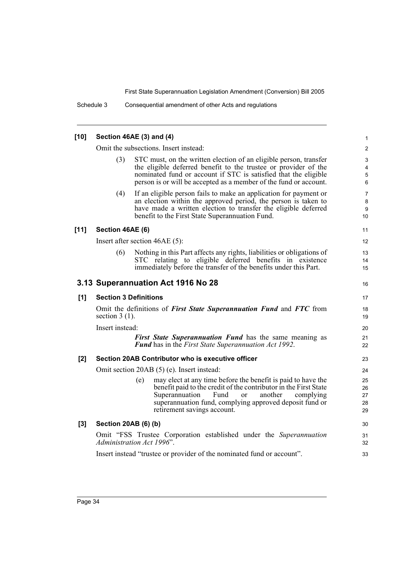| $[10]$ |                                            | Section 46AE (3) and (4)                                                                                                                                                                                                                                                                         | $\mathbf{1}$               |
|--------|--------------------------------------------|--------------------------------------------------------------------------------------------------------------------------------------------------------------------------------------------------------------------------------------------------------------------------------------------------|----------------------------|
|        |                                            | Omit the subsections. Insert instead:                                                                                                                                                                                                                                                            | $\mathbf 2$                |
|        | (3)                                        | STC must, on the written election of an eligible person, transfer<br>the eligible deferred benefit to the trustee or provider of the<br>nominated fund or account if STC is satisfied that the eligible<br>person is or will be accepted as a member of the fund or account.                     | 3<br>4<br>5<br>6           |
|        | (4)                                        | If an eligible person fails to make an application for payment or<br>an election within the approved period, the person is taken to<br>have made a written election to transfer the eligible deferred<br>benefit to the First State Superannuation Fund.                                         | 7<br>8<br>9<br>10          |
| $[11]$ | Section 46AE (6)                           |                                                                                                                                                                                                                                                                                                  | 11                         |
|        |                                            | Insert after section $46AE(5)$ :                                                                                                                                                                                                                                                                 | 12                         |
|        | (6)                                        | Nothing in this Part affects any rights, liabilities or obligations of<br>STC relating to eligible deferred benefits in existence<br>immediately before the transfer of the benefits under this Part.                                                                                            | 13<br>14<br>15             |
|        |                                            | 3.13 Superannuation Act 1916 No 28                                                                                                                                                                                                                                                               | 16                         |
| [1]    | <b>Section 3 Definitions</b>               |                                                                                                                                                                                                                                                                                                  | 17                         |
|        | section $3(1)$ .                           | Omit the definitions of <i>First State Superannuation Fund</i> and <i>FTC</i> from                                                                                                                                                                                                               | 18<br>19                   |
|        | Insert instead:                            |                                                                                                                                                                                                                                                                                                  | 20                         |
|        |                                            | <b>First State Superannuation Fund</b> has the same meaning as<br><b>Fund</b> has in the First State Superannuation Act 1992.                                                                                                                                                                    | 21<br>22                   |
| [2]    |                                            | Section 20AB Contributor who is executive officer                                                                                                                                                                                                                                                | 23                         |
|        | Omit section 20AB (5) (e). Insert instead: |                                                                                                                                                                                                                                                                                                  |                            |
|        |                                            | may elect at any time before the benefit is paid to have the<br>(e)<br>benefit paid to the credit of the contributor in the First State<br>Fund<br>Superannuation<br><b>or</b><br>another<br>complying<br>superannuation fund, complying approved deposit fund or<br>retirement savings account. | 25<br>26<br>27<br>28<br>29 |
| [3]    | <b>Section 20AB (6) (b)</b>                |                                                                                                                                                                                                                                                                                                  | 30                         |
|        |                                            | Omit "FSS Trustee Corporation established under the Superannuation<br>Administration Act 1996".                                                                                                                                                                                                  | 31<br>32                   |
|        |                                            | Insert instead "trustee or provider of the nominated fund or account".                                                                                                                                                                                                                           | 33                         |
|        |                                            |                                                                                                                                                                                                                                                                                                  |                            |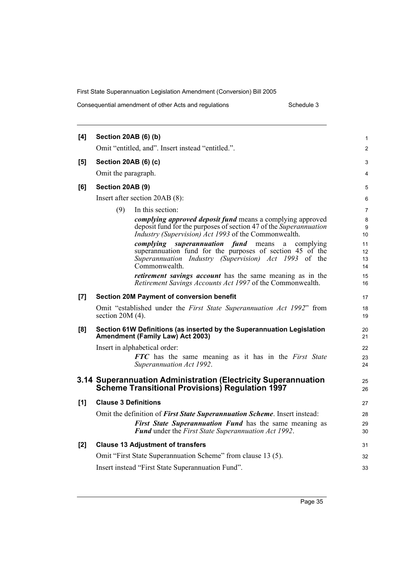Consequential amendment of other Acts and regulations Schedule 3

| [4] | <b>Section 20AB (6) (b)</b>                                                                                                                                                                         | 1                    |
|-----|-----------------------------------------------------------------------------------------------------------------------------------------------------------------------------------------------------|----------------------|
|     | Omit "entitled, and". Insert instead "entitled.".                                                                                                                                                   | $\overline{c}$       |
| [5] | <b>Section 20AB (6) (c)</b>                                                                                                                                                                         | 3                    |
|     | Omit the paragraph.                                                                                                                                                                                 | 4                    |
| [6] | Section 20AB (9)                                                                                                                                                                                    |                      |
|     | Insert after section 20AB (8):                                                                                                                                                                      |                      |
|     | (9)<br>In this section:                                                                                                                                                                             | 7                    |
|     | <i>complying approved deposit fund</i> means a complying approved<br>deposit fund for the purposes of section 47 of the Superannuation<br>Industry (Supervision) Act 1993 of the Commonwealth.      | 8<br>9<br>10         |
|     | <i>complying superannuation fund</i> means<br>a<br>complying<br>superannuation fund for the purposes of section 45 of the<br>Superannuation Industry (Supervision) Act 1993 of the<br>Commonwealth. | 11<br>12<br>13<br>14 |
|     | <i>retirement savings account</i> has the same meaning as in the<br>Retirement Savings Accounts Act 1997 of the Commonwealth.                                                                       | 15<br>16             |
| [7] | Section 20M Payment of conversion benefit                                                                                                                                                           | 17                   |
|     | Omit "established under the First State Superannuation Act 1992" from<br>section $20M(4)$ .                                                                                                         | 18<br>19             |
| [8] | Section 61W Definitions (as inserted by the Superannuation Legislation<br>Amendment (Family Law) Act 2003)                                                                                          | 20<br>21             |
|     | Insert in alphabetical order:                                                                                                                                                                       | 22                   |
|     | FTC has the same meaning as it has in the First State<br>Superannuation Act 1992.                                                                                                                   | 23<br>24             |
|     | 3.14 Superannuation Administration (Electricity Superannuation<br><b>Scheme Transitional Provisions) Regulation 1997</b>                                                                            | 25<br>26             |
| [1] | <b>Clause 3 Definitions</b>                                                                                                                                                                         | 27                   |
|     | Omit the definition of <i>First State Superannuation Scheme</i> . Insert instead:                                                                                                                   | 28                   |
|     | First State Superannuation Fund has the same meaning as<br><b>Fund</b> under the First State Superannuation Act 1992.                                                                               | 29<br>30             |
| [2] | <b>Clause 13 Adjustment of transfers</b>                                                                                                                                                            | 31                   |
|     | Omit "First State Superannuation Scheme" from clause 13 (5).                                                                                                                                        | 32                   |
|     | Insert instead "First State Superannuation Fund".                                                                                                                                                   | 33                   |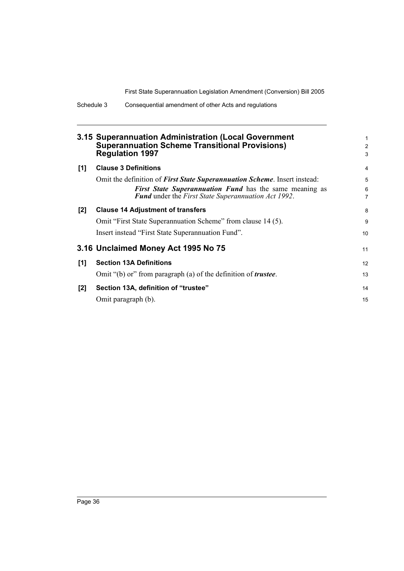1 2 3

#### **3.15 Superannuation Administration (Local Government Superannuation Scheme Transitional Provisions) Regulation 1997**

| [1] | <b>Clause 3 Definitions</b>                                                                                                  | 4                   |
|-----|------------------------------------------------------------------------------------------------------------------------------|---------------------|
|     | Omit the definition of <i>First State Superannuation Scheme</i> . Insert instead:                                            | 5                   |
|     | <b>First State Superannuation Fund has the same meaning as</b><br><b>Fund</b> under the First State Superannuation Act 1992. | 6<br>$\overline{7}$ |
| [2] | <b>Clause 14 Adjustment of transfers</b>                                                                                     | 8                   |
|     | Omit "First State Superannuation Scheme" from clause 14 (5).                                                                 | 9                   |
|     | Insert instead "First State Superannuation Fund".                                                                            | 10                  |
|     | 3.16 Unclaimed Money Act 1995 No 75                                                                                          | 11                  |
| [1] | <b>Section 13A Definitions</b>                                                                                               | 12                  |
|     | Omit "(b) or" from paragraph (a) of the definition of <i>trustee</i> .                                                       | 13                  |
| [2] | Section 13A, definition of "trustee"                                                                                         | 14                  |
|     | Omit paragraph (b).                                                                                                          | 15                  |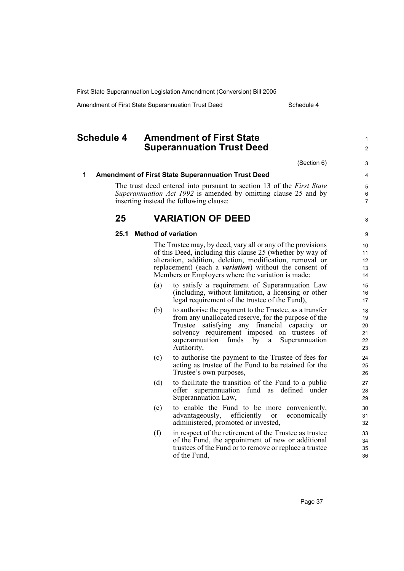Amendment of First State Superannuation Trust Deed Schedule 4

## <span id="page-50-0"></span>**Schedule 4 Amendment of First State Superannuation Trust Deed**

(Section 6)

1  $\overline{2}$ 

8

#### **1 Amendment of First State Superannuation Trust Deed**

The trust deed entered into pursuant to section 13 of the *First State Superannuation Act 1992* is amended by omitting clause 25 and by inserting instead the following clause:

## **25 VARIATION OF DEED**

#### **25.1 Method of variation**

The Trustee may, by deed, vary all or any of the provisions of this Deed, including this clause 25 (whether by way of alteration, addition, deletion, modification, removal or replacement) (each a *variation*) without the consent of Members or Employers where the variation is made:

- (a) to satisfy a requirement of Superannuation Law (including, without limitation, a licensing or other legal requirement of the trustee of the Fund),
- (b) to authorise the payment to the Trustee, as a transfer from any unallocated reserve, for the purpose of the Trustee satisfying any financial capacity or solvency requirement imposed on trustees of superannuation funds by a Superannuation Authority,
- (c) to authorise the payment to the Trustee of fees for acting as trustee of the Fund to be retained for the Trustee's own purposes,
- (d) to facilitate the transition of the Fund to a public offer superannuation fund as defined under Superannuation Law,
- (e) to enable the Fund to be more conveniently, advantageously, efficiently or economically administered, promoted or invested,
- (f) in respect of the retirement of the Trustee as trustee of the Fund, the appointment of new or additional trustees of the Fund or to remove or replace a trustee of the Fund,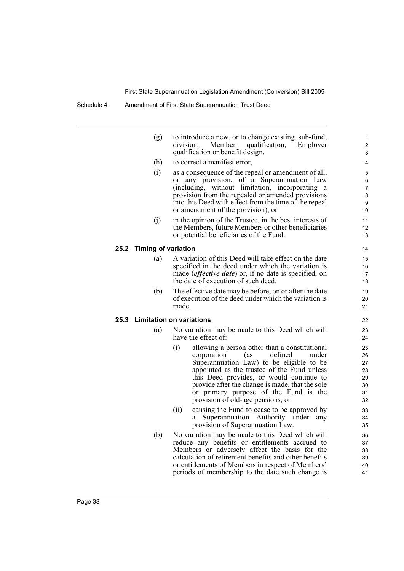Schedule 4 Amendment of First State Superannuation Trust Deed

|      | (g)                        | to introduce a new, or to change existing, sub-fund,<br>Member<br>qualification,<br>division,<br>Employer<br>qualification or benefit design, | 1<br>2<br>3 |
|------|----------------------------|-----------------------------------------------------------------------------------------------------------------------------------------------|-------------|
|      | (h)                        | to correct a manifest error,                                                                                                                  | 4           |
|      | (i)                        | as a consequence of the repeal or amendment of all,                                                                                           | 5           |
|      |                            | or any provision, of a Superannuation Law                                                                                                     | 6           |
|      |                            | (including, without limitation, incorporating a<br>provision from the repealed or amended provisions                                          | 7<br>8      |
|      |                            | into this Deed with effect from the time of the repeal                                                                                        | 9           |
|      |                            | or amendment of the provision), or                                                                                                            | 10          |
|      | (i)                        | in the opinion of the Trustee, in the best interests of                                                                                       | 11          |
|      |                            | the Members, future Members or other beneficiaries<br>or potential beneficiaries of the Fund.                                                 | 12<br>13    |
| 25.2 | <b>Timing of variation</b> |                                                                                                                                               | 14          |
|      | (a)                        | A variation of this Deed will take effect on the date                                                                                         | 15          |
|      |                            | specified in the deed under which the variation is                                                                                            | 16          |
|      |                            | made ( <i>effective date</i> ) or, if no date is specified, on<br>the date of execution of such deed.                                         | 17<br>18    |
|      | (b)                        | The effective date may be before, on or after the date                                                                                        | 19          |
|      |                            | of execution of the deed under which the variation is                                                                                         | 20          |
|      |                            | made.                                                                                                                                         | 21          |
| 25.3 |                            | <b>Limitation on variations</b>                                                                                                               | 22          |
|      | (a)                        | No variation may be made to this Deed which will<br>have the effect of:                                                                       | 23<br>24    |
|      |                            | (i)<br>allowing a person other than a constitutional                                                                                          | 25          |
|      |                            | defined<br>corporation<br>(as<br>under                                                                                                        | 26          |
|      |                            | Superannuation Law) to be eligible to be<br>appointed as the trustee of the Fund unless                                                       | 27<br>28    |
|      |                            | this Deed provides, or would continue to                                                                                                      | 29          |
|      |                            | provide after the change is made, that the sole                                                                                               | 30          |
|      |                            | or primary purpose of the Fund is the<br>provision of old-age pensions, or                                                                    | 31<br>32    |
|      |                            | (ii)                                                                                                                                          |             |
|      |                            | causing the Fund to cease to be approved by<br>Superannuation Authority under<br>any<br>a                                                     | 33<br>34    |
|      |                            | provision of Superannuation Law.                                                                                                              | 35          |
|      | (b)                        | No variation may be made to this Deed which will                                                                                              | 36          |
|      |                            | reduce any benefits or entitlements accrued to                                                                                                | 37          |
|      |                            | Members or adversely affect the basis for the<br>calculation of retirement benefits and other benefits                                        | 38<br>39    |
|      |                            | or entitlements of Members in respect of Members'                                                                                             | 40          |
|      |                            | periods of membership to the date such change is                                                                                              | 41          |